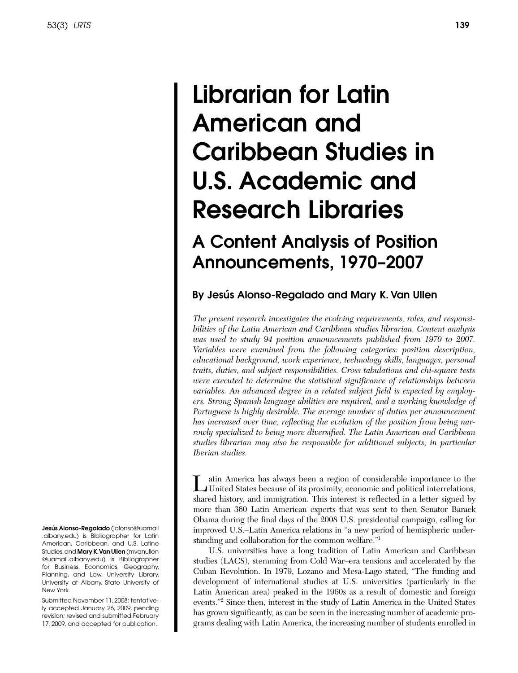# Librarian for Latin American and Caribbean Studies in U.S. Academic and Research Libraries

A Content Analysis of Position Announcements, 1970–2007

# By Jesús Alonso-Regalado and Mary K. Van Ullen

*The present research investigates the evolving requirements, roles, and responsibilities of the Latin American and Caribbean studies librarian. Content analysis*  was used to study 94 position announcements published from 1970 to 2007. *Variables were examined from the following categories: position description, educational background, work experience, technology skills, languages, personal traits, duties, and subject responsibilities. Cross tabulations and chi-square tests were executed to determine the statistical significance of relationships between variables. An advanced degree in a related subject field is expected by employers. Strong Spanish language abilities are required, and a working knowledge of Portuguese is highly desirable. The average number of duties per announcement has increased over time, reflecting the evolution of the position from being narrowly specialized to being more diversified. The Latin American and Caribbean studies librarian may also be responsible for additional subjects, in particular Iberian studies.*

Latin America has always been a region of considerable importance to the United States because of its proximity, economic and political interrelations, shared history, and immigration. This interest is reflected in a letter signed by more than 360 Latin American experts that was sent to then Senator Barack Obama during the final days of the 2008 U.S. presidential campaign, calling for improved U.S.–Latin America relations in "a new period of hemispheric understanding and collaboration for the common welfare."1

U.S. universities have a long tradition of Latin American and Caribbean studies (LACS), stemming from Cold War–era tensions and accelerated by the Cuban Revolution. In 1979, Lozano and Mesa-Lago stated, "The funding and development of international studies at U.S. universities (particularly in the Latin American area) peaked in the 1960s as a result of domestic and foreign events."2 Since then, interest in the study of Latin America in the United States has grown significantly, as can be seen in the increasing number of academic programs dealing with Latin America, the increasing number of students enrolled in

Jesús Alonso-Regalado (jalonso@uamail .albany.edu) is Bibliographer for Latin American, Caribbean, and U.S. Latino Studies, and Mary K. Van Ullen (mvanullen @uamail.albany.edu) is Bibliographer for Business, Economics, Geography, Planning, and Law, University Library, University at Albany, State University of New York.

Submitted November 11, 2008; tentatively accepted January 26, 2009, pending revision; revised and submitted February 17, 2009, and accepted for publication.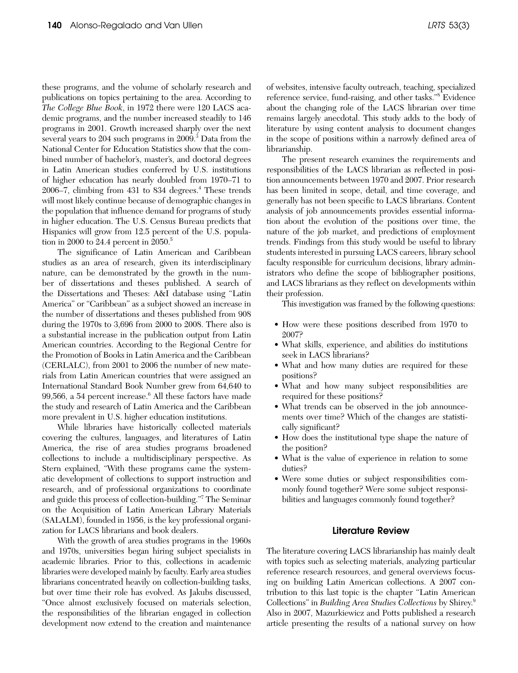these programs, and the volume of scholarly research and publications on topics pertaining to the area. According to *The College Blue Book*, in 1972 there were 120 LACS academic programs, and the number increased steadily to 146 programs in 2001. Growth increased sharply over the next several years to 204 such programs in 2009.<sup>3</sup> Data from the National Center for Education Statistics show that the combined number of bachelor's, master's, and doctoral degrees in Latin American studies conferred by U.S. institutions of higher education has nearly doubled from 1970–71 to 2006–7, climbing from 431 to 834 degrees.<sup>4</sup> These trends will most likely continue because of demographic changes in the population that influence demand for programs of study in higher education. The U.S. Census Bureau predicts that Hispanics will grow from 12.5 percent of the U.S. population in 2000 to 24.4 percent in 2050.<sup>5</sup>

The significance of Latin American and Caribbean studies as an area of research, given its interdisciplinary nature, can be demonstrated by the growth in the number of dissertations and theses published. A search of the Dissertations and Theses: A&I database using "Latin America" or "Caribbean" as a subject showed an increase in the number of dissertations and theses published from 908 during the 1970s to 3,696 from 2000 to 2008. There also is a substantial increase in the publication output from Latin American countries. According to the Regional Centre for the Promotion of Books in Latin America and the Caribbean (CERLALC), from 2001 to 2006 the number of new materials from Latin American countries that were assigned an International Standard Book Number grew from 64,640 to 99,566, a 54 percent increase.<sup>6</sup> All these factors have made the study and research of Latin America and the Caribbean more prevalent in U.S. higher education institutions.

While libraries have historically collected materials covering the cultures, languages, and literatures of Latin America, the rise of area studies programs broadened collections to include a multidisciplinary perspective. As Stern explained, "With these programs came the systematic development of collections to support instruction and research, and of professional organizations to coordinate and guide this process of collection-building."7 The Seminar on the Acquisition of Latin American Library Materials (SALALM), founded in 1956, is the key professional organization for LACS librarians and book dealers.

With the growth of area studies programs in the 1960s and 1970s, universities began hiring subject specialists in academic libraries. Prior to this, collections in academic libraries were developed mainly by faculty. Early area studies librarians concentrated heavily on collection-building tasks, but over time their role has evolved. As Jakubs discussed, "Once almost exclusively focused on materials selection, the responsibilities of the librarian engaged in collection development now extend to the creation and maintenance

reference service, fund-raising, and other tasks."8 Evidence about the changing role of the LACS librarian over time remains largely anecdotal. This study adds to the body of literature by using content analysis to document changes in the scope of positions within a narrowly defined area of librarianship.

The present research examines the requirements and responsibilities of the LACS librarian as reflected in position announcements between 1970 and 2007. Prior research has been limited in scope, detail, and time coverage, and generally has not been specific to LACS librarians. Content analysis of job announcements provides essential information about the evolution of the positions over time, the nature of the job market, and predictions of employment trends. Findings from this study would be useful to library students interested in pursuing LACS careers, library school faculty responsible for curriculum decisions, library administrators who define the scope of bibliographer positions, and LACS librarians as they reflect on developments within their profession.

This investigation was framed by the following questions:

- How were these positions described from 1970 to 2007?
- • What skills, experience, and abilities do institutions seek in LACS librarians?
- What and how many duties are required for these positions?
- • What and how many subject responsibilities are required for these positions?
- What trends can be observed in the job announcements over time? Which of the changes are statistically significant?
- How does the institutional type shape the nature of the position?
- What is the value of experience in relation to some duties?
- • Were some duties or subject responsibilities commonly found together? Were some subject responsibilities and languages commonly found together?

## Literature Review

The literature covering LACS librarianship has mainly dealt with topics such as selecting materials, analyzing particular reference research resources, and general overviews focusing on building Latin American collections. A 2007 contribution to this last topic is the chapter "Latin American Collections" in *Building Area Studies Collections* by Shirey.9 Also in 2007, Mazurkiewicz and Potts published a research article presenting the results of a national survey on how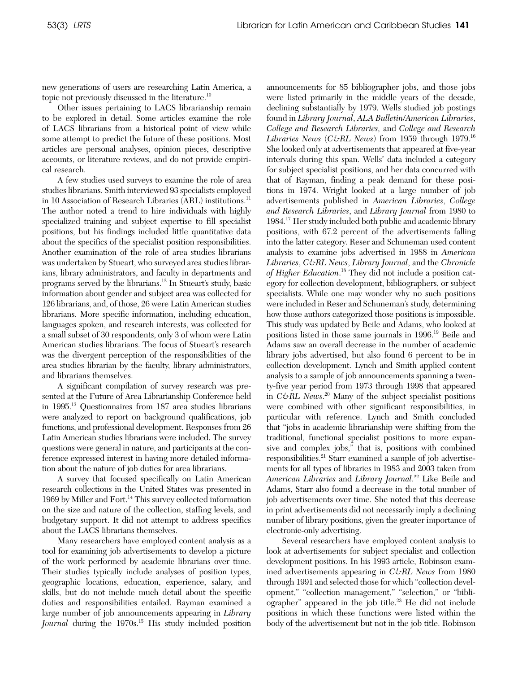new generations of users are researching Latin America, a topic not previously discussed in the literature.<sup>10</sup>

Other issues pertaining to LACS librarianship remain to be explored in detail. Some articles examine the role of LACS librarians from a historical point of view while some attempt to predict the future of these positions. Most articles are personal analyses, opinion pieces, descriptive accounts, or literature reviews, and do not provide empirical research.

A few studies used surveys to examine the role of area studies librarians. Smith interviewed 93 specialists employed in 10 Association of Research Libraries (ARL) institutions.<sup>11</sup> The author noted a trend to hire individuals with highly specialized training and subject expertise to fill specialist positions, but his findings included little quantitative data about the specifics of the specialist position responsibilities. Another examination of the role of area studies librarians was undertaken by Stueart, who surveyed area studies librarians, library administrators, and faculty in departments and programs served by the librarians.<sup>12</sup> In Stueart's study, basic information about gender and subject area was collected for 126 librarians, and, of those, 26 were Latin American studies librarians. More specific information, including education, languages spoken, and research interests, was collected for a small subset of 30 respondents, only 3 of whom were Latin American studies librarians. The focus of Stueart's research was the divergent perception of the responsibilities of the area studies librarian by the faculty, library administrators, and librarians themselves.

A significant compilation of survey research was presented at the Future of Area Librarianship Conference held in 1995.13 Questionnaires from 187 area studies librarians were analyzed to report on background qualifications, job functions, and professional development. Responses from 26 Latin American studies librarians were included. The survey questions were general in nature, and participants at the conference expressed interest in having more detailed information about the nature of job duties for area librarians.

A survey that focused specifically on Latin American research collections in the United States was presented in 1969 by Miller and Fort.<sup>14</sup> This survey collected information on the size and nature of the collection, staffing levels, and budgetary support. It did not attempt to address specifics about the LACS librarians themselves.

Many researchers have employed content analysis as a tool for examining job advertisements to develop a picture of the work performed by academic librarians over time. Their studies typically include analyses of position types, geographic locations, education, experience, salary, and skills, but do not include much detail about the specific duties and responsibilities entailed. Rayman examined a large number of job announcements appearing in *Library Journal* during the 1970s.<sup>15</sup> His study included position announcements for 85 bibliographer jobs, and those jobs were listed primarily in the middle years of the decade, declining substantially by 1979. Wells studied job postings found in *Library Journal*, *ALA Bulletin/American Libraries*, *College and Research Libraries,* and *College and Research Libraries News* (*C&RL News*) from 1959 through 1979.16 She looked only at advertisements that appeared at five-year intervals during this span. Wells' data included a category for subject specialist positions, and her data concurred with that of Rayman, finding a peak demand for these positions in 1974. Wright looked at a large number of job advertisements published in *American Libraries*, *College and Research Libraries*, and *Library Journal* from 1980 to 1984.<sup>17</sup> Her study included both public and academic library positions, with 67.2 percent of the advertisements falling into the latter category. Reser and Schuneman used content analysis to examine jobs advertised in 1988 in *American Libraries*, *C&RL News*, *Library Journal*, and the *Chronicle of Higher Education*. 18 They did not include a position category for collection development, bibliographers, or subject specialists. While one may wonder why no such positions were included in Reser and Schuneman's study, determining how those authors categorized those positions is impossible. This study was updated by Beile and Adams, who looked at positions listed in those same journals in 1996.19 Beile and Adams saw an overall decrease in the number of academic library jobs advertised, but also found 6 percent to be in collection development. Lynch and Smith applied content analysis to a sample of job announcements spanning a twenty-five year period from 1973 through 1998 that appeared in *C&RL News*. 20 Many of the subject specialist positions were combined with other significant responsibilities, in particular with reference. Lynch and Smith concluded that "jobs in academic librarianship were shifting from the traditional, functional specialist positions to more expansive and complex jobs," that is, positions with combined responsibilities.<sup>21</sup> Starr examined a sample of job advertisements for all types of libraries in 1983 and 2003 taken from *American Libraries* and *Library Journal*. 22 Like Beile and Adams, Starr also found a decrease in the total number of job advertisements over time. She noted that this decrease in print advertisements did not necessarily imply a declining number of library positions, given the greater importance of electronic-only advertising.

Several researchers have employed content analysis to look at advertisements for subject specialist and collection development positions. In his 1993 article, Robinson examined advertisements appearing in *C&RL News* from 1980 through 1991 and selected those for which "collection development," "collection management," "selection," or "bibliographer" appeared in the job title.23 He did not include positions in which these functions were listed within the body of the advertisement but not in the job title. Robinson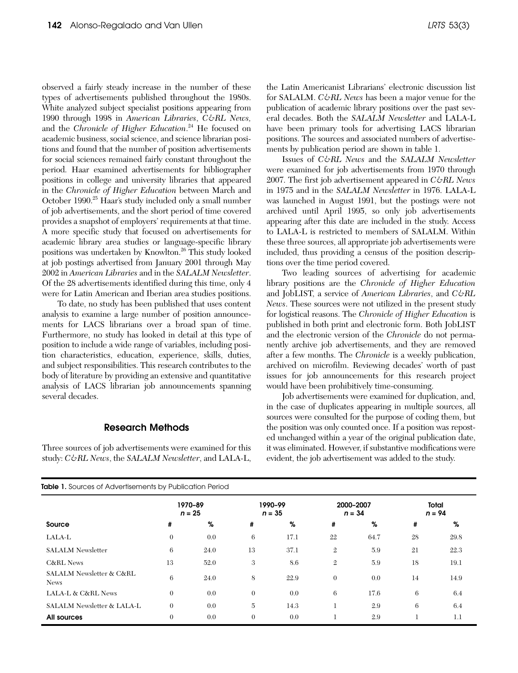observed a fairly steady increase in the number of these types of advertisements published throughout the 1980s. White analyzed subject specialist positions appearing from 1990 through 1998 in *American Libraries*, *C&RL News,* and the *Chronicle of Higher Education*. 24 He focused on academic business, social science, and science librarian positions and found that the number of position advertisements for social sciences remained fairly constant throughout the period. Haar examined advertisements for bibliographer positions in college and university libraries that appeared in the *Chronicle of Higher Education* between March and October 1990.25 Haar's study included only a small number of job advertisements, and the short period of time covered provides a snapshot of employers' requirements at that time. A more specific study that focused on advertisements for academic library area studies or language-specific library positions was undertaken by Knowlton.26 This study looked at job postings advertised from January 2001 through May 2002 in *American Libraries* and in the *SALALM Newsletter*. Of the 28 advertisements identified during this time, only 4 were for Latin American and Iberian area studies positions.

To date, no study has been published that uses content analysis to examine a large number of position announcements for LACS librarians over a broad span of time. Furthermore, no study has looked in detail at this type of position to include a wide range of variables, including position characteristics, education, experience, skills, duties, and subject responsibilities. This research contributes to the body of literature by providing an extensive and quantitative analysis of LACS librarian job announcements spanning several decades.

#### Research Methods

Three sources of job advertisements were examined for this study: *C&RL News*, the *SALALM Newsletter*, and LALA-L,

Table 1. Sources of Advertisements by Publication Period

the Latin Americanist Librarians' electronic discussion list for SALALM. *C&RL News* has been a major venue for the publication of academic library positions over the past several decades. Both the *SALALM Newsletter* and LALA-L have been primary tools for advertising LACS librarian positions. The sources and associated numbers of advertisements by publication period are shown in table 1.

Issues of *C&RL News* and the *SALALM Newsletter* were examined for job advertisements from 1970 through 2007. The first job advertisement appeared in *C&RL News* in 1975 and in the *SALALM Newsletter* in 1976. LALA-L was launched in August 1991, but the postings were not archived until April 1995, so only job advertisements appearing after this date are included in the study. Access to LALA-L is restricted to members of SALALM. Within these three sources, all appropriate job advertisements were included, thus providing a census of the position descriptions over the time period covered.

Two leading sources of advertising for academic library positions are the *Chronicle of Higher Education* and JobLIST, a service of *American Libraries*, and *C&RL News*. These sources were not utilized in the present study for logistical reasons. The *Chronicle of Higher Education* is published in both print and electronic form. Both JobLIST and the electronic version of the *Chronicle* do not permanently archive job advertisements, and they are removed after a few months. The *Chronicle* is a weekly publication, archived on microfilm. Reviewing decades' worth of past issues for job announcements for this research project would have been prohibitively time-consuming.

Job advertisements were examined for duplication, and, in the case of duplicates appearing in multiple sources, all sources were consulted for the purpose of coding them, but the position was only counted once. If a position was reposted unchanged within a year of the original publication date, it was eliminated. However, if substantive modifications were evident, the job advertisement was added to the study.

|                                         |          | 1970-89<br>$n = 25$ |          | 1990-99<br>$n = 35$ |              | 2000-2007<br>$n = 34$ |    | <b>Total</b><br>$n = 94$ |
|-----------------------------------------|----------|---------------------|----------|---------------------|--------------|-----------------------|----|--------------------------|
| Source                                  | #        | %                   | #        | %                   | #            | %                     | #  | %                        |
| LALA-L                                  | $\theta$ | 0.0                 | 6        | 17.1                | 22           | 64.7                  | 28 | 29.8                     |
| <b>SALALM Newsletter</b>                | 6        | 24.0                | 13       | 37.1                | $\mathbf{2}$ | 5.9                   | 21 | 22.3                     |
| <b>C&amp;RL News</b>                    | 13       | 52.0                | 3        | 8.6                 | $\mathbf{2}$ | 5.9                   | 18 | 19.1                     |
| SALALM Newsletter & C&RL<br><b>News</b> | 6        | 24.0                | 8        | 22.9                | $\theta$     | 0.0                   | 14 | 14.9                     |
| LALA-L & C&RL News                      | $\theta$ | 0.0                 | $\theta$ | 0.0                 | 6            | 17.6                  | 6  | 6.4                      |
| SALALM Newsletter & LALA-L              | $\theta$ | 0.0                 | 5        | 14.3                |              | 2.9                   | 6  | 6.4                      |
| All sources                             | $\theta$ | 0.0                 | $\theta$ | 0.0                 |              | 2.9                   |    | 1.1                      |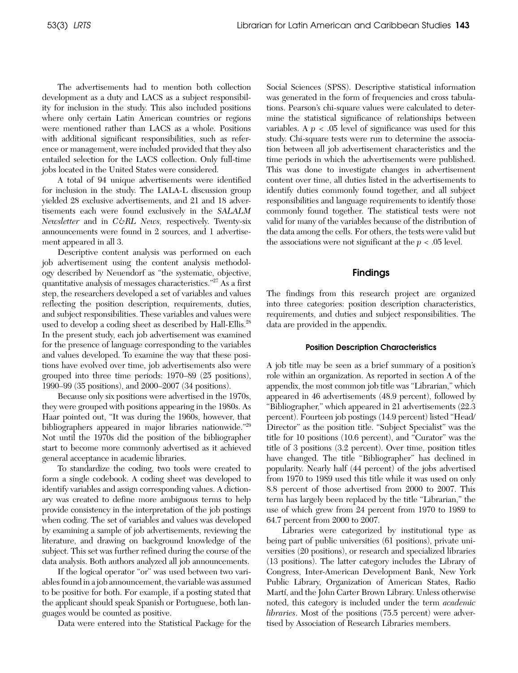The advertisements had to mention both collection development as a duty and LACS as a subject responsibility for inclusion in the study. This also included positions where only certain Latin American countries or regions were mentioned rather than LACS as a whole. Positions with additional significant responsibilities, such as reference or management, were included provided that they also entailed selection for the LACS collection. Only full-time jobs located in the United States were considered.

A total of 94 unique advertisements were identified for inclusion in the study. The LALA-L discussion group yielded 28 exclusive advertisements, and 21 and 18 advertisements each were found exclusively in the *SALALM Newsletter* and in *C&RL News,* respectively. Twenty-six announcements were found in 2 sources, and 1 advertisement appeared in all 3.

Descriptive content analysis was performed on each job advertisement using the content analysis methodology described by Neuendorf as "the systematic, objective, quantitative analysis of messages characteristics."27 As a first step, the researchers developed a set of variables and values reflecting the position description, requirements, duties, and subject responsibilities. These variables and values were used to develop a coding sheet as described by Hall-Ellis.<sup>28</sup> In the present study, each job advertisement was examined for the presence of language corresponding to the variables and values developed. To examine the way that these positions have evolved over time, job advertisements also were grouped into three time periods: 1970–89 (25 positions), 1990–99 (35 positions), and 2000–2007 (34 positions).

Because only six positions were advertised in the 1970s, they were grouped with positions appearing in the 1980s. As Haar pointed out, "It was during the 1960s, however, that bibliographers appeared in major libraries nationwide."29 Not until the 1970s did the position of the bibliographer start to become more commonly advertised as it achieved general acceptance in academic libraries.

To standardize the coding, two tools were created to form a single codebook. A coding sheet was developed to identify variables and assign corresponding values. A dictionary was created to define more ambiguous terms to help provide consistency in the interpretation of the job postings when coding. The set of variables and values was developed by examining a sample of job advertisements, reviewing the literature, and drawing on background knowledge of the subject. This set was further refined during the course of the data analysis. Both authors analyzed all job announcements.

If the logical operator "or" was used between two variables found in a job announcement, the variable was assumed to be positive for both. For example, if a posting stated that the applicant should speak Spanish or Portuguese, both languages would be counted as positive.

Data were entered into the Statistical Package for the

Social Sciences (SPSS). Descriptive statistical information was generated in the form of frequencies and cross tabulations. Pearson's chi-square values were calculated to determine the statistical significance of relationships between variables. A  $p < .05$  level of significance was used for this study. Chi-square tests were run to determine the association between all job advertisement characteristics and the time periods in which the advertisements were published. This was done to investigate changes in advertisement content over time, all duties listed in the advertisements to identify duties commonly found together, and all subject responsibilities and language requirements to identify those commonly found together. The statistical tests were not valid for many of the variables because of the distribution of the data among the cells. For others, the tests were valid but the associations were not significant at the  $p < .05$  level.

# Findings

The findings from this research project are organized into three categories: position description characteristics, requirements, and duties and subject responsibilities. The data are provided in the appendix.

## Position Description Characteristics

A job title may be seen as a brief summary of a position's role within an organization. As reported in section A of the appendix, the most common job title was "Librarian," which appeared in 46 advertisements (48.9 percent), followed by "Bibliographer," which appeared in 21 advertisements (22.3 percent). Fourteen job postings (14.9 percent) listed "Head/ Director" as the position title. "Subject Specialist" was the title for 10 positions (10.6 percent), and "Curator" was the title of 3 positions (3.2 percent). Over time, position titles have changed. The title "Bibliographer" has declined in popularity. Nearly half (44 percent) of the jobs advertised from 1970 to 1989 used this title while it was used on only 8.8 percent of those advertised from 2000 to 2007. This term has largely been replaced by the title "Librarian," the use of which grew from 24 percent from 1970 to 1989 to 64.7 percent from 2000 to 2007.

Libraries were categorized by institutional type as being part of public universities (61 positions), private universities (20 positions), or research and specialized libraries (13 positions). The latter category includes the Library of Congress, Inter-American Development Bank, New York Public Library, Organization of American States, Radio Martí, and the John Carter Brown Library. Unless otherwise noted, this category is included under the term *academic libraries*. Most of the positions (75.5 percent) were advertised by Association of Research Libraries members.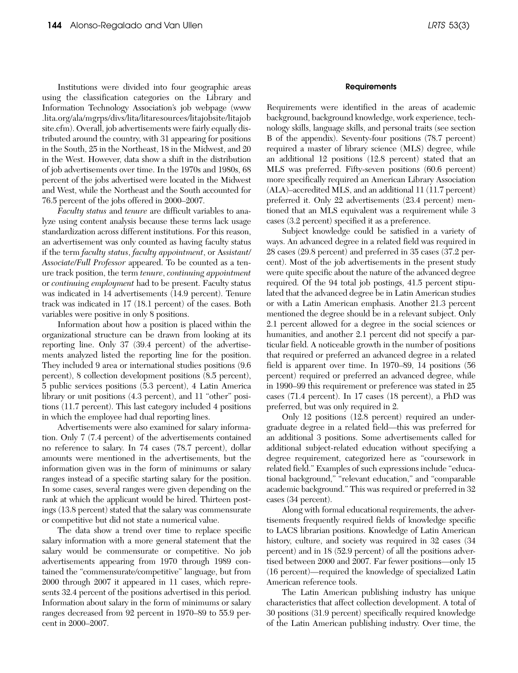Institutions were divided into four geographic areas using the classification categories on the Library and Information Technology Association's job webpage (www .lita.org/ala/mgrps/divs/lita/litaresources/litajobsite/litajob site.cfm). Overall, job advertisements were fairly equally distributed around the country, with 31 appearing for positions in the South, 25 in the Northeast, 18 in the Midwest, and 20 in the West. However, data show a shift in the distribution of job advertisements over time. In the 1970s and 1980s, 68 percent of the jobs advertised were located in the Midwest and West, while the Northeast and the South accounted for 76.5 percent of the jobs offered in 2000–2007.

*Faculty status* and *tenure* are difficult variables to analyze using content analysis because these terms lack usage standardization across different institutions. For this reason, an advertisement was only counted as having faculty status if the term *faculty status*, *faculty appointment*, or A*ssistant/ Associate/Full Professor* appeared. To be counted as a tenure track position, the term *tenure*, *continuing appointment* or *continuing employment* had to be present. Faculty status was indicated in 14 advertisements (14.9 percent). Tenure track was indicated in 17 (18.1 percent) of the cases. Both variables were positive in only 8 positions.

Information about how a position is placed within the organizational structure can be drawn from looking at its reporting line. Only 37 (39.4 percent) of the advertisements analyzed listed the reporting line for the position. They included 9 area or international studies positions (9.6 percent), 8 collection development positions (8.5 percent), 5 public services positions (5.3 percent), 4 Latin America library or unit positions (4.3 percent), and 11 "other" positions (11.7 percent). This last category included 4 positions in which the employee had dual reporting lines.

Advertisements were also examined for salary information. Only 7 (7.4 percent) of the advertisements contained no reference to salary. In 74 cases (78.7 percent), dollar amounts were mentioned in the advertisements, but the information given was in the form of minimums or salary ranges instead of a specific starting salary for the position. In some cases, several ranges were given depending on the rank at which the applicant would be hired. Thirteen postings (13.8 percent) stated that the salary was commensurate or competitive but did not state a numerical value.

The data show a trend over time to replace specific salary information with a more general statement that the salary would be commensurate or competitive. No job advertisements appearing from 1970 through 1989 contained the "commensurate/competitive" language, but from 2000 through 2007 it appeared in 11 cases, which represents 32.4 percent of the positions advertised in this period. Information about salary in the form of minimums or salary ranges decreased from 92 percent in 1970–89 to 55.9 percent in 2000–2007.

#### Requirements

Requirements were identified in the areas of academic background, background knowledge, work experience, technology skills, language skills, and personal traits (see section B of the appendix). Seventy-four positions (78.7 percent) required a master of library science (MLS) degree, while an additional 12 positions (12.8 percent) stated that an MLS was preferred. Fifty-seven positions (60.6 percent) more specifically required an American Library Association (ALA)–accredited MLS, and an additional 11 (11.7 percent) preferred it. Only 22 advertisements (23.4 percent) mentioned that an MLS equivalent was a requirement while 3 cases (3.2 percent) specified it as a preference.

Subject knowledge could be satisfied in a variety of ways. An advanced degree in a related field was required in 28 cases (29.8 percent) and preferred in 35 cases (37.2 percent). Most of the job advertisements in the present study were quite specific about the nature of the advanced degree required. Of the 94 total job postings, 41.5 percent stipulated that the advanced degree be in Latin American studies or with a Latin American emphasis. Another 21.3 percent mentioned the degree should be in a relevant subject. Only 2.1 percent allowed for a degree in the social sciences or humanities, and another 2.1 percent did not specify a particular field. A noticeable growth in the number of positions that required or preferred an advanced degree in a related field is apparent over time. In 1970–89, 14 positions (56 percent) required or preferred an advanced degree, while in 1990–99 this requirement or preference was stated in 25 cases (71.4 percent). In 17 cases (18 percent), a PhD was preferred, but was only required in 2.

Only 12 positions (12.8 percent) required an undergraduate degree in a related field—this was preferred for an additional 3 positions. Some advertisements called for additional subject-related education without specifying a degree requirement, categorized here as "coursework in related field." Examples of such expressions include "educational background," "relevant education," and "comparable academic background." This was required or preferred in 32 cases (34 percent).

Along with formal educational requirements, the advertisements frequently required fields of knowledge specific to LACS librarian positions. Knowledge of Latin American history, culture, and society was required in 32 cases  $(34)$ percent) and in 18 (52.9 percent) of all the positions advertised between 2000 and 2007. Far fewer positions—only 15 (16 percent)—required the knowledge of specialized Latin American reference tools.

The Latin American publishing industry has unique characteristics that affect collection development. A total of 30 positions (31.9 percent) specifically required knowledge of the Latin American publishing industry. Over time, the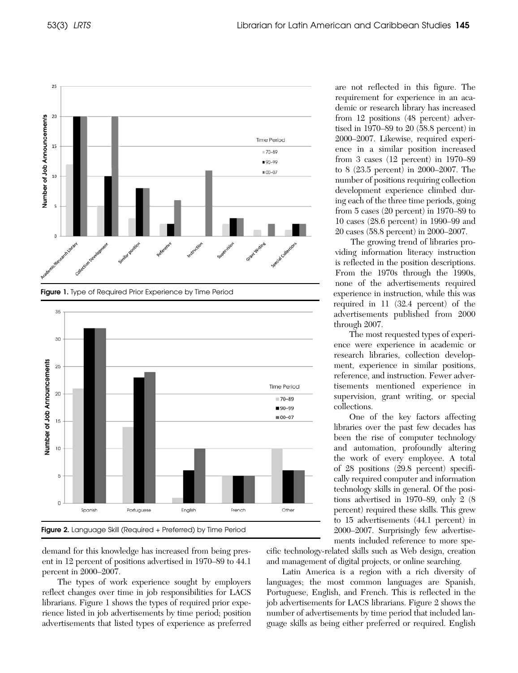





demand for this knowledge has increased from being present in 12 percent of positions advertised in 1970–89 to 44.1 percent in 2000–2007.

The types of work experience sought by employers reflect changes over time in job responsibilities for LACS librarians. Figure 1 shows the types of required prior experience listed in job advertisements by time period; position advertisements that listed types of experience as preferred are not reflected in this figure. The requirement for experience in an academic or research library has increased from 12 positions (48 percent) advertised in 1970–89 to 20 (58.8 percent) in 2000–2007. Likewise, required experience in a similar position increased from 3 cases (12 percent) in 1970–89 to 8 (23.5 percent) in 2000–2007. The number of positions requiring collection development experience climbed during each of the three time periods, going from 5 cases (20 percent) in 1970–89 to 10 cases (28.6 percent) in 1990–99 and 20 cases (58.8 percent) in 2000–2007.

The growing trend of libraries providing information literacy instruction is reflected in the position descriptions. From the 1970s through the 1990s, none of the advertisements required experience in instruction, while this was required in 11 (32.4 percent) of the advertisements published from 2000 through 2007.

The most requested types of experience were experience in academic or research libraries, collection development, experience in similar positions, reference, and instruction. Fewer advertisements mentioned experience in supervision, grant writing, or special collections.

One of the key factors affecting libraries over the past few decades has been the rise of computer technology and automation, profoundly altering the work of every employee. A total of 28 positions (29.8 percent) specifically required computer and information technology skills in general. Of the positions advertised in 1970–89, only 2 (8 percent) required these skills. This grew to 15 advertisements (44.1 percent) in 2000–2007. Surprisingly few advertisements included reference to more spe-

cific technology-related skills such as Web design, creation and management of digital projects, or online searching.

Latin America is a region with a rich diversity of languages; the most common languages are Spanish, Portuguese, English, and French. This is reflected in the job advertisements for LACS librarians. Figure 2 shows the number of advertisements by time period that included language skills as being either preferred or required. English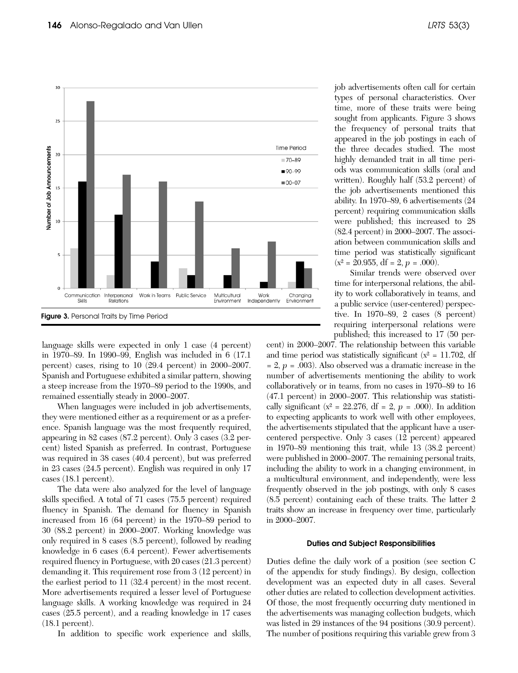

language skills were expected in only 1 case (4 percent) in 1970–89. In 1990–99, English was included in 6 (17.1 percent) cases, rising to 10 (29.4 percent) in 2000–2007. Spanish and Portuguese exhibited a similar pattern, showing a steep increase from the 1970–89 period to the 1990s, and remained essentially steady in 2000–2007.

When languages were included in job advertisements, they were mentioned either as a requirement or as a preference. Spanish language was the most frequently required, appearing in 82 cases (87.2 percent). Only 3 cases (3.2 percent) listed Spanish as preferred. In contrast, Portuguese was required in 38 cases (40.4 percent), but was preferred in 23 cases (24.5 percent). English was required in only 17 cases (18.1 percent).

The data were also analyzed for the level of language skills specified. A total of 71 cases (75.5 percent) required fluency in Spanish. The demand for fluency in Spanish increased from 16 (64 percent) in the 1970–89 period to 30 (88.2 percent) in 2000–2007. Working knowledge was only required in 8 cases (8.5 percent), followed by reading knowledge in 6 cases (6.4 percent). Fewer advertisements required fluency in Portuguese, with 20 cases (21.3 percent) demanding it. This requirement rose from 3 (12 percent) in the earliest period to 11 (32.4 percent) in the most recent. More advertisements required a lesser level of Portuguese language skills. A working knowledge was required in 24 cases (25.5 percent), and a reading knowledge in 17 cases (18.1 percent).

In addition to specific work experience and skills,

job advertisements often call for certain types of personal characteristics. Over time, more of these traits were being sought from applicants. Figure 3 shows the frequency of personal traits that appeared in the job postings in each of the three decades studied. The most highly demanded trait in all time periods was communication skills (oral and written). Roughly half (53.2 percent) of the job advertisements mentioned this ability. In 1970–89, 6 advertisements (24 percent) requiring communication skills were published; this increased to 28 (82.4 percent) in 2000–2007. The association between communication skills and time period was statistically significant  $(x^2 = 20.955, df = 2, p = .000).$ 

Similar trends were observed over time for interpersonal relations, the ability to work collaboratively in teams, and a public service (user-centered) perspective. In 1970–89, 2 cases (8 percent) requiring interpersonal relations were published; this increased to 17 (50 per-

cent) in 2000–2007. The relationship between this variable and time period was statistically significant ( $x^2 = 11.702$ , df = 2, *p* = .003). Also observed was a dramatic increase in the number of advertisements mentioning the ability to work collaboratively or in teams, from no cases in 1970–89 to 16 (47.1 percent) in 2000–2007. This relationship was statistically significant ( $x^2 = 22.276$ , df = 2,  $p = .000$ ). In addition to expecting applicants to work well with other employees, the advertisements stipulated that the applicant have a usercentered perspective. Only 3 cases (12 percent) appeared in 1970–89 mentioning this trait, while 13 (38.2 percent) were published in 2000–2007. The remaining personal traits, including the ability to work in a changing environment, in a multicultural environment, and independently, were less frequently observed in the job postings, with only 8 cases (8.5 percent) containing each of these traits. The latter 2 traits show an increase in frequency over time, particularly in 2000–2007.

#### Duties and Subject Responsibilities

Duties define the daily work of a position (see section C of the appendix for study findings). By design, collection development was an expected duty in all cases. Several other duties are related to collection development activities. Of those, the most frequently occurring duty mentioned in the advertisements was managing collection budgets, which was listed in 29 instances of the 94 positions (30.9 percent). The number of positions requiring this variable grew from 3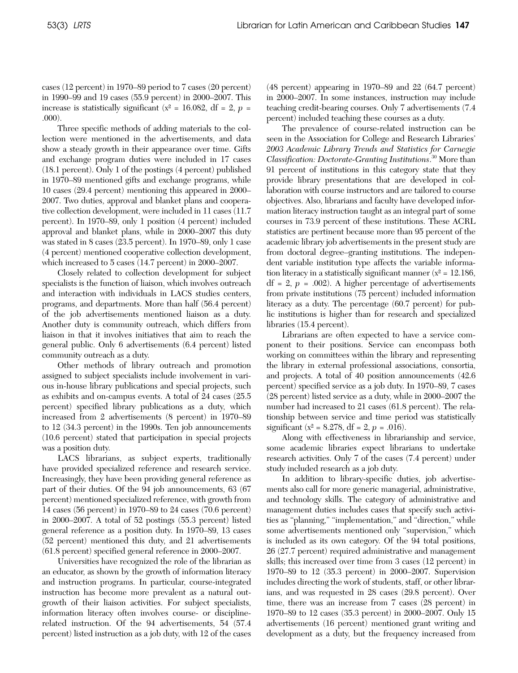cases (12 percent) in 1970–89 period to 7 cases (20 percent) in 1990–99 and 19 cases (55.9 percent) in 2000–2007. This increase is statistically significant ( $x^2 = 16.082$ , df = 2,  $p =$ .000).

Three specific methods of adding materials to the collection were mentioned in the advertisements, and data show a steady growth in their appearance over time. Gifts and exchange program duties were included in 17 cases (18.1 percent). Only 1 of the postings (4 percent) published in 1970–89 mentioned gifts and exchange programs, while 10 cases (29.4 percent) mentioning this appeared in 2000– 2007. Two duties, approval and blanket plans and cooperative collection development, were included in 11 cases (11.7 percent). In 1970–89, only 1 position (4 percent) included approval and blanket plans, while in 2000–2007 this duty was stated in 8 cases (23.5 percent). In 1970–89, only 1 case (4 percent) mentioned cooperative collection development, which increased to 5 cases (14.7 percent) in 2000–2007.

Closely related to collection development for subject specialists is the function of liaison, which involves outreach and interaction with individuals in LACS studies centers, programs, and departments. More than half (56.4 percent) of the job advertisements mentioned liaison as a duty. Another duty is community outreach, which differs from liaison in that it involves initiatives that aim to reach the general public. Only 6 advertisements (6.4 percent) listed community outreach as a duty.

Other methods of library outreach and promotion assigned to subject specialists include involvement in various in-house library publications and special projects, such as exhibits and on-campus events. A total of 24 cases (25.5 percent) specified library publications as a duty, which increased from 2 advertisements (8 percent) in 1970–89 to 12 (34.3 percent) in the 1990s. Ten job announcements (10.6 percent) stated that participation in special projects was a position duty.

LACS librarians, as subject experts, traditionally have provided specialized reference and research service. Increasingly, they have been providing general reference as part of their duties. Of the 94 job announcements, 63 (67 percent) mentioned specialized reference, with growth from 14 cases (56 percent) in 1970–89 to 24 cases (70.6 percent) in 2000–2007. A total of 52 postings (55.3 percent) listed general reference as a position duty. In 1970–89, 13 cases (52 percent) mentioned this duty, and 21 advertisements (61.8 percent) specified general reference in 2000–2007.

Universities have recognized the role of the librarian as an educator, as shown by the growth of information literacy and instruction programs. In particular, course-integrated instruction has become more prevalent as a natural outgrowth of their liaison activities. For subject specialists, information literacy often involves course- or disciplinerelated instruction. Of the 94 advertisements, 54 (57.4 percent) listed instruction as a job duty, with 12 of the cases (48 percent) appearing in 1970–89 and 22 (64.7 percent) in 2000–2007. In some instances, instruction may include teaching credit-bearing courses. Only 7 advertisements (7.4 percent) included teaching these courses as a duty.

The prevalence of course-related instruction can be seen in the Association for College and Research Libraries' *2003 Academic Library Trends and Statistics for Carnegie Classification: Doctorate-Granting Institutions*. 30 More than 91 percent of institutions in this category state that they provide library presentations that are developed in collaboration with course instructors and are tailored to course objectives. Also, librarians and faculty have developed information literacy instruction taught as an integral part of some courses in 73.9 percent of these institutions. These ACRL statistics are pertinent because more than 95 percent of the academic library job advertisements in the present study are from doctoral degree–granting institutions. The independent variable institution type affects the variable information literacy in a statistically significant manner  $(x^2 = 12.186,$  $df = 2$ ,  $p = .002$ ). A higher percentage of advertisements from private institutions (75 percent) included information literacy as a duty. The percentage (60.7 percent) for public institutions is higher than for research and specialized libraries (15.4 percent).

Librarians are often expected to have a service component to their positions. Service can encompass both working on committees within the library and representing the library in external professional associations, consortia, and projects. A total of 40 position announcements (42.6 percent) specified service as a job duty. In 1970–89, 7 cases (28 percent) listed service as a duty, while in 2000–2007 the number had increased to 21 cases (61.8 percent). The relationship between service and time period was statistically significant ( $x^2 = 8.278$ , df = 2,  $p = .016$ ).

Along with effectiveness in librarianship and service, some academic libraries expect librarians to undertake research activities. Only 7 of the cases (7.4 percent) under study included research as a job duty.

In addition to library-specific duties, job advertisements also call for more generic managerial, administrative, and technology skills. The category of administrative and management duties includes cases that specify such activities as "planning," "implementation," and "direction," while some advertisements mentioned only "supervision," which is included as its own category. Of the 94 total positions, 26 (27.7 percent) required administrative and management skills; this increased over time from 3 cases (12 percent) in 1970–89 to 12 (35.3 percent) in 2000–2007. Supervision includes directing the work of students, staff, or other librarians, and was requested in 28 cases (29.8 percent). Over time, there was an increase from 7 cases (28 percent) in 1970–89 to 12 cases (35.3 percent) in 2000–2007. Only 15 advertisements (16 percent) mentioned grant writing and development as a duty, but the frequency increased from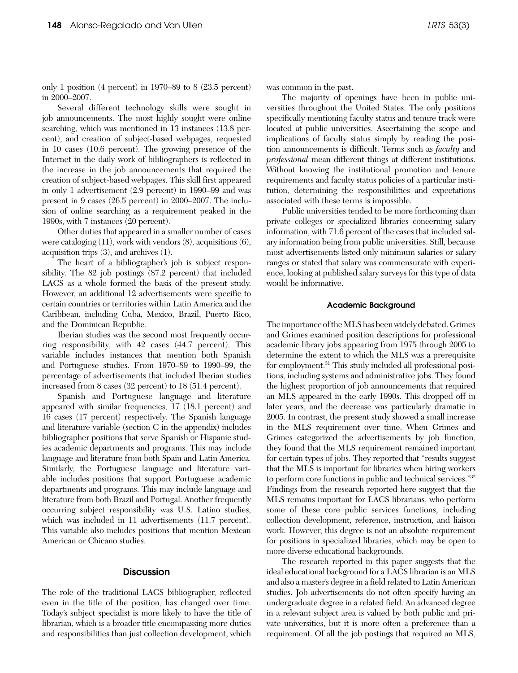only 1 position (4 percent) in 1970–89 to 8 (23.5 percent) in 2000–2007.

Several different technology skills were sought in job announcements. The most highly sought were online searching, which was mentioned in 13 instances (13.8 percent), and creation of subject-based webpages, requested in 10 cases (10.6 percent). The growing presence of the Internet in the daily work of bibliographers is reflected in the increase in the job announcements that required the creation of subject-based webpages. This skill first appeared in only 1 advertisement (2.9 percent) in 1990–99 and was present in 9 cases (26.5 percent) in 2000–2007. The inclusion of online searching as a requirement peaked in the 1990s, with 7 instances (20 percent).

Other duties that appeared in a smaller number of cases were cataloging  $(11)$ , work with vendors  $(8)$ , acquisitions  $(6)$ , acquisition trips (3), and archives (1).

The heart of a bibliographer's job is subject responsibility. The 82 job postings (87.2 percent) that included LACS as a whole formed the basis of the present study. However, an additional 12 advertisements were specific to certain countries or territories within Latin America and the Caribbean, including Cuba, Mexico, Brazil, Puerto Rico, and the Dominican Republic.

Iberian studies was the second most frequently occurring responsibility, with 42 cases (44.7 percent). This variable includes instances that mention both Spanish and Portuguese studies. From 1970–89 to 1990–99, the percentage of advertisements that included Iberian studies increased from 8 cases (32 percent) to 18 (51.4 percent).

Spanish and Portuguese language and literature appeared with similar frequencies, 17 (18.1 percent) and 16 cases (17 percent) respectively. The Spanish language and literature variable (section C in the appendix) includes bibliographer positions that serve Spanish or Hispanic studies academic departments and programs. This may include language and literature from both Spain and Latin America. Similarly, the Portuguese language and literature variable includes positions that support Portuguese academic departments and programs. This may include language and literature from both Brazil and Portugal. Another frequently occurring subject responsibility was U.S. Latino studies, which was included in 11 advertisements  $(11.7 \text{ percent})$ . This variable also includes positions that mention Mexican American or Chicano studies.

# **Discussion**

The role of the traditional LACS bibliographer, reflected even in the title of the position, has changed over time. Today's subject specialist is more likely to have the title of librarian, which is a broader title encompassing more duties and responsibilities than just collection development, which was common in the past.

The majority of openings have been in public universities throughout the United States. The only positions specifically mentioning faculty status and tenure track were located at public universities. Ascertaining the scope and implications of faculty status simply by reading the position announcements is difficult. Terms such as *faculty* and *professional* mean different things at different institutions. Without knowing the institutional promotion and tenure requirements and faculty status policies of a particular institution, determining the responsibilities and expectations associated with these terms is impossible.

Public universities tended to be more forthcoming than private colleges or specialized libraries concerning salary information, with 71.6 percent of the cases that included salary information being from public universities. Still, because most advertisements listed only minimum salaries or salary ranges or stated that salary was commensurate with experience, looking at published salary surveys for this type of data would be informative.

#### Academic Background

The importance of the MLS has been widely debated. Grimes and Grimes examined position descriptions for professional academic library jobs appearing from 1975 through 2005 to determine the extent to which the MLS was a prerequisite for employment.31 This study included all professional positions, including systems and administrative jobs. They found the highest proportion of job announcements that required an MLS appeared in the early 1990s. This dropped off in later years, and the decrease was particularly dramatic in 2005. In contrast, the present study showed a small increase in the MLS requirement over time. When Grimes and Grimes categorized the advertisements by job function, they found that the MLS requirement remained important for certain types of jobs. They reported that "results suggest that the MLS is important for libraries when hiring workers to perform core functions in public and technical services."32 Findings from the research reported here suggest that the MLS remains important for LACS librarians, who perform some of these core public services functions, including collection development, reference, instruction, and liaison work. However, this degree is not an absolute requirement for positions in specialized libraries, which may be open to more diverse educational backgrounds.

The research reported in this paper suggests that the ideal educational background for a LACS librarian is an MLS and also a master's degree in a field related to Latin American studies. Job advertisements do not often specify having an undergraduate degree in a related field. An advanced degree in a relevant subject area is valued by both public and private universities, but it is more often a preference than a requirement. Of all the job postings that required an MLS,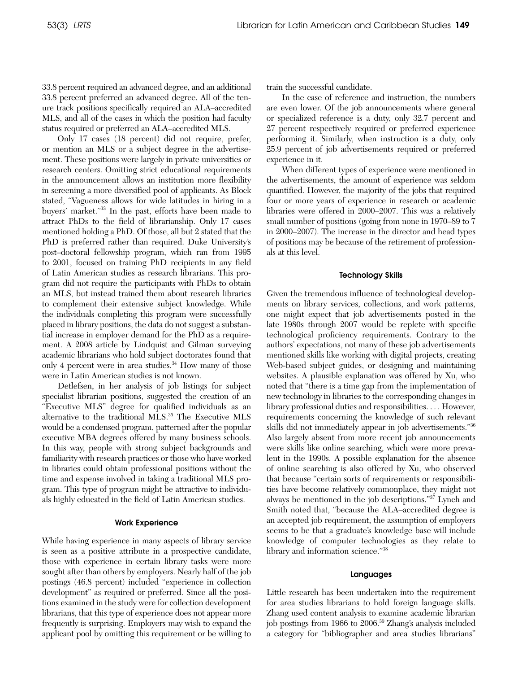33.8 percent required an advanced degree, and an additional 33.8 percent preferred an advanced degree. All of the tenure track positions specifically required an ALA–accredited MLS, and all of the cases in which the position had faculty status required or preferred an ALA–accredited MLS.

Only 17 cases (18 percent) did not require, prefer, or mention an MLS or a subject degree in the advertisement. These positions were largely in private universities or research centers. Omitting strict educational requirements in the announcement allows an institution more flexibility in screening a more diversified pool of applicants. As Block stated, "Vagueness allows for wide latitudes in hiring in a buyers' market."33 In the past, efforts have been made to attract PhDs to the field of librarianship. Only 17 cases mentioned holding a PhD. Of those, all but 2 stated that the PhD is preferred rather than required. Duke University's post–doctoral fellowship program, which ran from 1995 to 2001, focused on training PhD recipients in any field of Latin American studies as research librarians. This program did not require the participants with PhDs to obtain an MLS, but instead trained them about research libraries to complement their extensive subject knowledge. While the individuals completing this program were successfully placed in library positions, the data do not suggest a substantial increase in employer demand for the PhD as a requirement. A 2008 article by Lindquist and Gilman surveying academic librarians who hold subject doctorates found that only 4 percent were in area studies. $34$  How many of those were in Latin American studies is not known.

Detlefsen, in her analysis of job listings for subject specialist librarian positions, suggested the creation of an "Executive MLS" degree for qualified individuals as an alternative to the traditional MLS.<sup>35</sup> The Executive MLS would be a condensed program, patterned after the popular executive MBA degrees offered by many business schools. In this way, people with strong subject backgrounds and familiarity with research practices or those who have worked in libraries could obtain professional positions without the time and expense involved in taking a traditional MLS program. This type of program might be attractive to individuals highly educated in the field of Latin American studies.

## Work Experience

While having experience in many aspects of library service is seen as a positive attribute in a prospective candidate, those with experience in certain library tasks were more sought after than others by employers. Nearly half of the job postings (46.8 percent) included "experience in collection development" as required or preferred. Since all the positions examined in the study were for collection development librarians, that this type of experience does not appear more frequently is surprising. Employers may wish to expand the applicant pool by omitting this requirement or be willing to train the successful candidate.

In the case of reference and instruction, the numbers are even lower. Of the job announcements where general or specialized reference is a duty, only 32.7 percent and 27 percent respectively required or preferred experience performing it. Similarly, when instruction is a duty, only 25.9 percent of job advertisements required or preferred experience in it.

When different types of experience were mentioned in the advertisements, the amount of experience was seldom quantified. However, the majority of the jobs that required four or more years of experience in research or academic libraries were offered in 2000–2007. This was a relatively small number of positions (going from none in 1970–89 to 7 in 2000–2007). The increase in the director and head types of positions may be because of the retirement of professionals at this level.

#### Technology Skills

Given the tremendous influence of technological developments on library services, collections, and work patterns, one might expect that job advertisements posted in the late 1980s through 2007 would be replete with specific technological proficiency requirements. Contrary to the authors' expectations, not many of these job advertisements mentioned skills like working with digital projects, creating Web-based subject guides, or designing and maintaining websites. A plausible explanation was offered by Xu, who noted that "there is a time gap from the implementation of new technology in libraries to the corresponding changes in library professional duties and responsibilities. . . . However, requirements concerning the knowledge of such relevant skills did not immediately appear in job advertisements."36 Also largely absent from more recent job announcements were skills like online searching, which were more prevalent in the 1990s. A possible explanation for the absence of online searching is also offered by Xu, who observed that because "certain sorts of requirements or responsibilities have become relatively commonplace, they might not always be mentioned in the job descriptions."<sup>37</sup> Lynch and Smith noted that, "because the ALA–accredited degree is an accepted job requirement, the assumption of employers seems to be that a graduate's knowledge base will include knowledge of computer technologies as they relate to library and information science."38

#### Languages

Little research has been undertaken into the requirement for area studies librarians to hold foreign language skills. Zhang used content analysis to examine academic librarian job postings from 1966 to 2006.<sup>39</sup> Zhang's analysis included a category for "bibliographer and area studies librarians"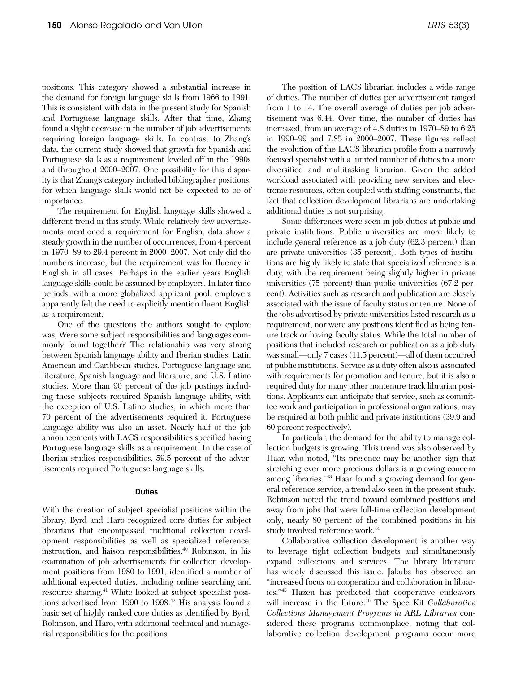positions. This category showed a substantial increase in the demand for foreign language skills from 1966 to 1991. This is consistent with data in the present study for Spanish and Portuguese language skills. After that time, Zhang found a slight decrease in the number of job advertisements requiring foreign language skills. In contrast to Zhang's data, the current study showed that growth for Spanish and Portuguese skills as a requirement leveled off in the 1990s and throughout 2000–2007. One possibility for this disparity is that Zhang's category included bibliographer positions, for which language skills would not be expected to be of importance.

The requirement for English language skills showed a different trend in this study. While relatively few advertisements mentioned a requirement for English, data show a steady growth in the number of occurrences, from 4 percent in 1970–89 to 29.4 percent in 2000–2007. Not only did the numbers increase, but the requirement was for fluency in English in all cases. Perhaps in the earlier years English language skills could be assumed by employers. In later time periods, with a more globalized applicant pool, employers apparently felt the need to explicitly mention fluent English as a requirement.

One of the questions the authors sought to explore was, Were some subject responsibilities and languages commonly found together? The relationship was very strong between Spanish language ability and Iberian studies, Latin American and Caribbean studies, Portuguese language and literature, Spanish language and literature, and U.S. Latino studies. More than 90 percent of the job postings including these subjects required Spanish language ability, with the exception of U.S. Latino studies, in which more than 70 percent of the advertisements required it. Portuguese language ability was also an asset. Nearly half of the job announcements with LACS responsibilities specified having Portuguese language skills as a requirement. In the case of Iberian studies responsibilities, 59.5 percent of the advertisements required Portuguese language skills.

#### **Duties**

With the creation of subject specialist positions within the library, Byrd and Haro recognized core duties for subject librarians that encompassed traditional collection development responsibilities as well as specialized reference, instruction, and liaison responsibilities.<sup>40</sup> Robinson, in his examination of job advertisements for collection development positions from 1980 to 1991, identified a number of additional expected duties, including online searching and resource sharing.<sup>41</sup> White looked at subject specialist positions advertised from 1990 to 1998.<sup>42</sup> His analysis found a basic set of highly ranked core duties as identified by Byrd, Robinson, and Haro, with additional technical and managerial responsibilities for the positions.

The position of LACS librarian includes a wide range of duties. The number of duties per advertisement ranged from 1 to 14. The overall average of duties per job advertisement was 6.44. Over time, the number of duties has increased, from an average of 4.8 duties in 1970–89 to 6.25 in 1990–99 and 7.85 in 2000–2007. These figures reflect the evolution of the LACS librarian profile from a narrowly focused specialist with a limited number of duties to a more diversified and multitasking librarian. Given the added workload associated with providing new services and electronic resources, often coupled with staffing constraints, the fact that collection development librarians are undertaking additional duties is not surprising.

Some differences were seen in job duties at public and private institutions. Public universities are more likely to include general reference as a job duty (62.3 percent) than are private universities (35 percent). Both types of institutions are highly likely to state that specialized reference is a duty, with the requirement being slightly higher in private universities (75 percent) than public universities (67.2 percent). Activities such as research and publication are closely associated with the issue of faculty status or tenure. None of the jobs advertised by private universities listed research as a requirement, nor were any positions identified as being tenure track or having faculty status. While the total number of positions that included research or publication as a job duty was small—only 7 cases (11.5 percent)—all of them occurred at public institutions. Service as a duty often also is associated with requirements for promotion and tenure, but it is also a required duty for many other nontenure track librarian positions. Applicants can anticipate that service, such as committee work and participation in professional organizations, may be required at both public and private institutions (39.9 and 60 percent respectively).

In particular, the demand for the ability to manage collection budgets is growing. This trend was also observed by Haar, who noted, "Its presence may be another sign that stretching ever more precious dollars is a growing concern among libraries."43 Haar found a growing demand for general reference service, a trend also seen in the present study. Robinson noted the trend toward combined positions and away from jobs that were full-time collection development only; nearly 80 percent of the combined positions in his study involved reference work.<sup>44</sup>

Collaborative collection development is another way to leverage tight collection budgets and simultaneously expand collections and services. The library literature has widely discussed this issue. Jakubs has observed an "increased focus on cooperation and collaboration in libraries."45 Hazen has predicted that cooperative endeavors will increase in the future.<sup>46</sup> The Spec Kit *Collaborative Collections Management Programs in ARL Libraries* considered these programs commonplace, noting that collaborative collection development programs occur more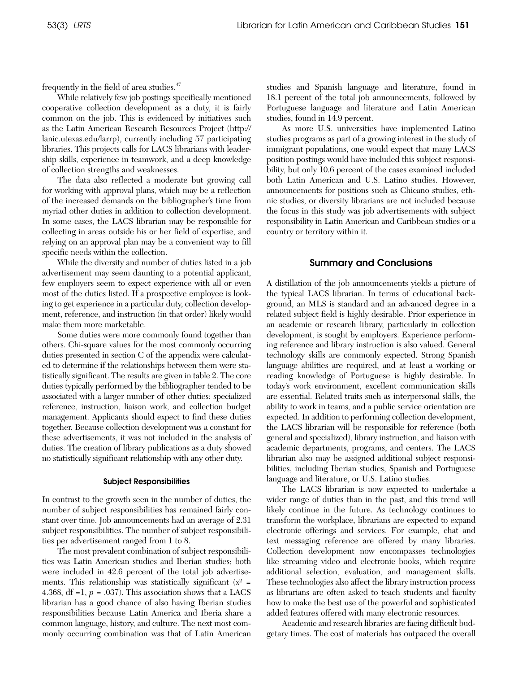frequently in the field of area studies.<sup>47</sup>

While relatively few job postings specifically mentioned cooperative collection development as a duty, it is fairly common on the job. This is evidenced by initiatives such as the Latin American Research Resources Project (http:// lanic.utexas.edu/larrp), currently including 57 participating libraries. This projects calls for LACS librarians with leadership skills, experience in teamwork, and a deep knowledge of collection strengths and weaknesses.

The data also reflected a moderate but growing call for working with approval plans, which may be a reflection of the increased demands on the bibliographer's time from myriad other duties in addition to collection development. In some cases, the LACS librarian may be responsible for collecting in areas outside his or her field of expertise, and relying on an approval plan may be a convenient way to fill specific needs within the collection.

While the diversity and number of duties listed in a job advertisement may seem daunting to a potential applicant, few employers seem to expect experience with all or even most of the duties listed. If a prospective employee is looking to get experience in a particular duty, collection development, reference, and instruction (in that order) likely would make them more marketable.

Some duties were more commonly found together than others. Chi-square values for the most commonly occurring duties presented in section C of the appendix were calculated to determine if the relationships between them were statistically significant. The results are given in table 2. The core duties typically performed by the bibliographer tended to be associated with a larger number of other duties: specialized reference, instruction, liaison work, and collection budget management. Applicants should expect to find these duties together. Because collection development was a constant for these advertisements, it was not included in the analysis of duties. The creation of library publications as a duty showed no statistically significant relationship with any other duty.

#### Subject Responsibilities

In contrast to the growth seen in the number of duties, the number of subject responsibilities has remained fairly constant over time. Job announcements had an average of 2.31 subject responsibilities. The number of subject responsibilities per advertisement ranged from 1 to 8.

The most prevalent combination of subject responsibilities was Latin American studies and Iberian studies; both were included in 42.6 percent of the total job advertisements. This relationship was statistically significant  $(x^2 =$ 4.368,  $df = 1$ ,  $p = .037$ ). This association shows that a LACS librarian has a good chance of also having Iberian studies responsibilities because Latin America and Iberia share a common language, history, and culture. The next most commonly occurring combination was that of Latin American studies and Spanish language and literature, found in 18.1 percent of the total job announcements, followed by Portuguese language and literature and Latin American studies, found in 14.9 percent.

As more U.S. universities have implemented Latino studies programs as part of a growing interest in the study of immigrant populations, one would expect that many LACS position postings would have included this subject responsibility, but only 10.6 percent of the cases examined included both Latin American and U.S. Latino studies. However, announcements for positions such as Chicano studies, ethnic studies, or diversity librarians are not included because the focus in this study was job advertisements with subject responsibility in Latin American and Caribbean studies or a country or territory within it.

# Summary and Conclusions

A distillation of the job announcements yields a picture of the typical LACS librarian. In terms of educational background, an MLS is standard and an advanced degree in a related subject field is highly desirable. Prior experience in an academic or research library, particularly in collection development, is sought by employers. Experience performing reference and library instruction is also valued. General technology skills are commonly expected. Strong Spanish language abilities are required, and at least a working or reading knowledge of Portuguese is highly desirable. In today's work environment, excellent communication skills are essential. Related traits such as interpersonal skills, the ability to work in teams, and a public service orientation are expected. In addition to performing collection development, the LACS librarian will be responsible for reference (both general and specialized), library instruction, and liaison with academic departments, programs, and centers. The LACS librarian also may be assigned additional subject responsibilities, including Iberian studies, Spanish and Portuguese language and literature, or U.S. Latino studies.

The LACS librarian is now expected to undertake a wider range of duties than in the past, and this trend will likely continue in the future. As technology continues to transform the workplace, librarians are expected to expand electronic offerings and services. For example, chat and text messaging reference are offered by many libraries. Collection development now encompasses technologies like streaming video and electronic books, which require additional selection, evaluation, and management skills. These technologies also affect the library instruction process as librarians are often asked to teach students and faculty how to make the best use of the powerful and sophisticated added features offered with many electronic resources.

Academic and research libraries are facing difficult budgetary times. The cost of materials has outpaced the overall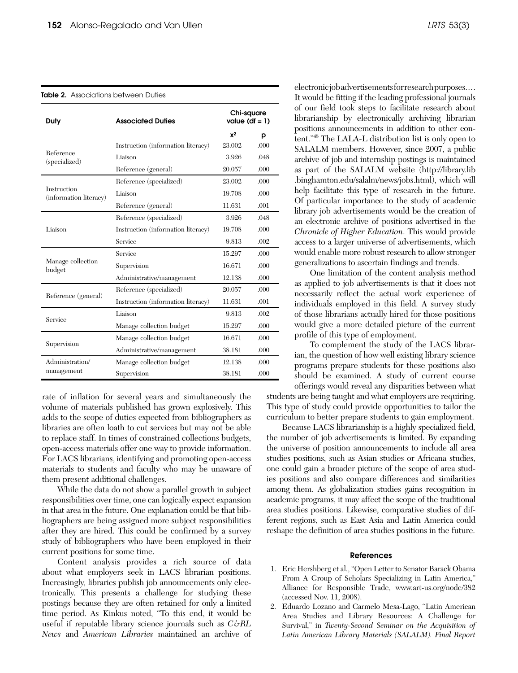#### Table 2. Associations between Duties

| Duty                                  | <b>Associated Duties</b>           | Chi-square<br>value $(dt = 1)$ |      |
|---------------------------------------|------------------------------------|--------------------------------|------|
|                                       |                                    | $x^2$                          | р    |
|                                       | Instruction (information literacy) | 23.002                         | .000 |
| Reference<br>(specialized)            | Liaison                            | 3.926                          | .048 |
|                                       | Reference (general)                | 20.057                         | .000 |
|                                       | Reference (specialized)            | 23.002                         | .000 |
| Instruction<br>(information literacy) | Liaison                            | 19.708                         | .000 |
|                                       | Reference (general)                | 11.631                         | .001 |
|                                       | Reference (specialized)            | 3.926                          | .048 |
| Liaison                               | Instruction (information literacy) | 19.708                         | .000 |
|                                       | Service                            | 9.813                          | .002 |
|                                       | Service                            | 15.297                         | .000 |
| Manage collection<br>budget           | Supervision                        | 16.671                         | .000 |
|                                       | Administrative/management          | 12.138                         | .000 |
|                                       | Reference (specialized)            | 20.057                         | .000 |
| Reference (general)                   | Instruction (information literacy) | 11.631                         | .001 |
|                                       | Liaison                            | 9.813                          | .002 |
| Service                               | Manage collection budget           | 15.297                         | .000 |
|                                       | Manage collection budget           | 16.671                         | .000 |
| Supervision                           | Administrative/management          | 38.181                         | .000 |
| Administration/                       | Manage collection budget           | 12.138                         | .000 |
| management                            | Supervision                        | 38.181                         | .000 |

rate of inflation for several years and simultaneously the volume of materials published has grown explosively. This adds to the scope of duties expected from bibliographers as libraries are often loath to cut services but may not be able to replace staff. In times of constrained collections budgets, open-access materials offer one way to provide information. For LACS librarians, identifying and promoting open-access materials to students and faculty who may be unaware of them present additional challenges.

While the data do not show a parallel growth in subject responsibilities over time, one can logically expect expansion in that area in the future. One explanation could be that bibliographers are being assigned more subject responsibilities after they are hired. This could be confirmed by a survey study of bibliographers who have been employed in their current positions for some time.

Content analysis provides a rich source of data about what employers seek in LACS librarian positions. Increasingly, libraries publish job announcements only electronically. This presents a challenge for studying these postings because they are often retained for only a limited time period. As Kinkus noted, "To this end, it would be useful if reputable library science journals such as *C&RL News* and *American Libraries* maintained an archive of

electronic job advertisements for research purposes. . . . It would be fitting if the leading professional journals of our field took steps to facilitate research about librarianship by electronically archiving librarian positions announcements in addition to other content."48 The LALA-L distribution list is only open to SALALM members. However, since 2007, a public archive of job and internship postings is maintained as part of the SALALM website (http://library.lib .binghamton.edu/salalm/news/jobs.html), which will help facilitate this type of research in the future. Of particular importance to the study of academic library job advertisements would be the creation of an electronic archive of positions advertised in the *Chronicle of Higher Education*. This would provide access to a larger universe of advertisements, which would enable more robust research to allow stronger generalizations to ascertain findings and trends.

One limitation of the content analysis method as applied to job advertisements is that it does not necessarily reflect the actual work experience of individuals employed in this field. A survey study of those librarians actually hired for those positions would give a more detailed picture of the current profile of this type of employment.

To complement the study of the LACS librarian, the question of how well existing library science programs prepare students for these positions also should be examined. A study of current course offerings would reveal any disparities between what

students are being taught and what employers are requiring. This type of study could provide opportunities to tailor the curriculum to better prepare students to gain employment.

Because LACS librarianship is a highly specialized field, the number of job advertisements is limited. By expanding the universe of position announcements to include all area studies positions, such as Asian studies or Africana studies, one could gain a broader picture of the scope of area studies positions and also compare differences and similarities among them. As globalization studies gains recognition in academic programs, it may affect the scope of the traditional area studies positions. Likewise, comparative studies of different regions, such as East Asia and Latin America could reshape the definition of area studies positions in the future.

#### References

- 1. Eric Hershberg et al., "Open Letter to Senator Barack Obama From A Group of Scholars Specializing in Latin America," Alliance for Responsible Trade, www.art-us.org/node/382 (accessed Nov. 11, 2008).
- 2. Eduardo Lozano and Carmelo Mesa-Lago, "Latin American Area Studies and Library Resources: A Challenge for Survival," in *Twenty-Second Seminar on the Acquisition of Latin American Library Materials (SALALM). Final Report*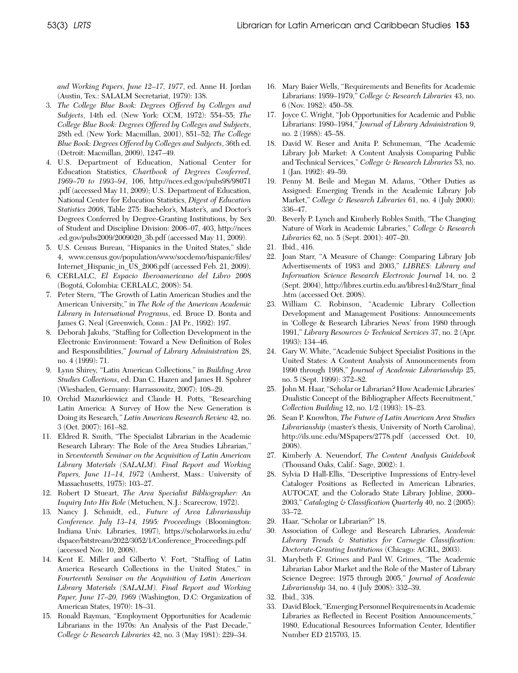*and Working Papers, June 12–17, 1977*, ed. Anne H. Jordan (Austin, Tex.: SALALM Secretariat, 1979): 138.

- 3. *The College Blue Book: Degrees Offered by Colleges and Subjects*, 14th ed. (New York: CCM, 1972): 554–55; *The College Blue Book: Degrees Offered by Colleges and Subjects*, 28th ed. (New York: Macmillan, 2001), 851–52; *The College Blue Book: Degrees Offered by Colleges and Subjects*, 36th ed. (Detroit: Macmillan, 2009), 1247–49.
- 4. U.S. Department of Education, National Center for Education Statistics, *Chartbook of Degrees Conferred, 1969–70 to 1993–94*, 106, http://nces.ed.gov/pubs98/98071 .pdf (accessed May 11, 2009); U.S. Department of Education, National Center for Education Statistics, *Digest of Education Statistics 2008*, Table 275: Bachelor's, Master's, and Doctor's Degrees Conferred by Degree-Granting Institutions, by Sex of Student and Discipline Division: 2006–07, 403, http://nces .ed.gov/pubs2009/2009020\_3b.pdf (accessed May 11, 2009).
- 5. U.S. Census Bureau, "Hispanics in the United States," slide 4, www.census.gov/population/www/socdemo/hispanic/files/ Internet\_Hispanic\_in\_US\_2006.pdf (accessed Feb. 21, 2009).
- 6. CERLALC, *El Espacio Iberoamericano del Libro 2008* (Bogotá, Colombia: CERLALC, 2008): 54.
- 7. Peter Stern, "The Growth of Latin American Studies and the American University," in *The Role of the American Academic Library in International Programs*, ed. Bruce D. Bonta and James G. Neal (Greenwich, Conn.: JAI Pr., 1992): 197.
- 8. Deborah Jakubs, "Staffing for Collection Development in the Electronic Environment: Toward a New Definition of Roles and Responsibilities," *Journal of Library Administration* 28, no. 4 (1999): 71.
- 9. Lynn Shirey, "Latin American Collections," in *Building Area Studies Collections*, ed. Dan C. Hazen and James H. Spohrer (Wiesbaden, Germany: Harrassowitz, 2007): 108–29.
- 10. Orchid Mazurkiewicz and Claude H. Potts, "Researching Latin America: A Survey of How the New Generation is Doing its Research*," Latin American Research Review* 42, no. 3 (Oct. 2007): 161–82.
- 11. Eldred R. Smith, "The Specialist Librarian in the Academic Research Library: The Role of the Area Studies Librarian," in *Seventeenth Seminar on the Acquisition of Latin American Library Materials (SALALM). Final Report and Working Papers, June 11–14, 1972* (Amherst, Mass.: University of Massachusetts, 1975): 103–27.
- 12. Robert D Stueart, *The Area Specialist Bibliographer: An Inquiry Into His Role* (Metuchen, N.J.: Scarecrow, 1972).
- 13. Nancy J. Schmidt, ed., *Future of Area Librarianship Conference. July 13–14, 1995: Proceedings* (Bloomington: Indiana Univ. Libraries, 1997), https://scholarworks.iu.edu/ dspace/bitstream/2022/3052/1/Conference\_Proceedings.pdf (accessed Nov. 10, 2008).
- 14. Kent E. Miller and Gilberto V. Fort, "Staffing of Latin America Research Collections in the United States," in *Fourteenth Seminar on the Acquisition of Latin American Library Materials (SALALM). Final Report and Working Paper, June 17–20, 1969* (Washington, D.C: Organization of American States, 1970): 18–31.
- 15. Ronald Rayman, "Employment Opportunities for Academic Librarians in the 1970s: An Analysis of the Past Decade," *College & Research Libraries* 42, no. 3 (May 1981): 229–34.
- 16. Mary Baier Wells, "Requirements and Benefits for Academic Librarians: 1959–1979," *College & Research Libraries* 43, no. 6 (Nov. 1982): 450–58.
- 17. Joyce C. Wright, "Job Opportunities for Academic and Public Librarians: 1980–1984," *Journal of Library Administration* 9, no. 2 (1988): 45–58.
- 18. David W. Reser and Anita P. Schuneman, "The Academic Library Job Market: A Content Analysis Comparing Public and Technical Services," *College & Research Libraries* 53, no. 1 (Jan. 1992): 49–59.
- 19. Penny M. Beile and Megan M. Adams, "Other Duties as Assigned: Emerging Trends in the Academic Library Job Market," *College & Research Libraries* 61, no. 4 (July 2000): 336–47.
- 20. Beverly P. Lynch and Kimberly Robles Smith, "The Changing Nature of Work in Academic Libraries," *College & Research Libraries* 62, no. 5 (Sept. 2001): 407–20.
- 21. Ibid., 416.
- 22. Joan Starr, "A Measure of Change: Comparing Library Job Advertisements of 1983 and 2003," *LIBRES: Library and Information Science Research Electronic Journal* 14, no. 2 (Sept. 2004), http://libres.curtin.edu.au/libres14n2/Starr\_final .htm (accessed Oct. 2008).
- 23. William C. Robinson, "Academic Library Collection Development and Management Positions: Announcements in 'College & Research Libraries News' from 1980 through 1991," *Library Resources & Technical Services* 37, no. 2 (Apr. 1993): 134–46.
- 24. Gary W. White, "Academic Subject Specialist Positions in the United States: A Content Analysis of Announcements from 1990 through 1998," *Journal of Academic Librarianship* 25, no. 5 (Sept. 1999): 372–82.
- 25. John M. Haar, "Scholar or Librarian? How Academic Libraries' Dualistic Concept of the Bibliographer Affects Recruitment," *Collection Building* 12, no. 1/2 (1993): 18–23.
- 26. Sean P. Knowlton, *The Future of Latin American Area Studies Librarianship* (master's thesis, University of North Carolina), http://ils.unc.edu/MSpapers/2778.pdf (accessed Oct. 10, 2008).
- 27. Kimberly A. Neuendorf, *The Content Analysis Guidebook* (Thousand Oaks, Calif.: Sage, 2002): 1.
- 28. Sylvia D Hall-Ellis, "Descriptive Impressions of Entry-level Cataloger Positions as Reflected in American Libraries, AUTOCAT, and the Colorado State Library Jobline, 2000– 2003," *Cataloging & Classification Quarterly* 40, no. 2 (2005): 33–72.
- 29. Haar, "Scholar or Librarian?" 18.
- 30. Association of College and Research Libraries, *Academic Library Trends & Statistics for Carnegie Classification: Doctorate-Granting Institutions* (Chicago: ACRL, 2003).
- 31. Marybeth F. Grimes and Paul W. Grimes, "The Academic Librarian Labor Market and the Role of the Master of Library Science Degree: 1975 through 2005," *Journal of Academic Librarianship* 34, no. 4 (July 2008): 332–39.
- 32. Ibid., 338.
- 33. David Block, "Emerging Personnel Requirements in Academic Libraries as Reflected in Recent Position Announcements," 1980, Educational Resources Information Center, Identifier Number ED 215703, 15.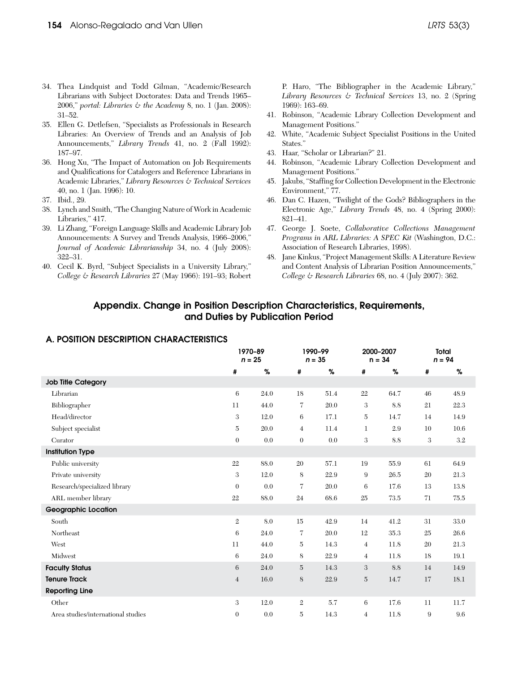- 34. Thea Lindquist and Todd Gilman, "Academic/Research Librarians with Subject Doctorates: Data and Trends 1965– 2006," *portal: Libraries & the Academy* 8, no. 1 (Jan. 2008): 31–52.
- 35. Ellen G. Detlefsen, "Specialists as Professionals in Research Libraries: An Overview of Trends and an Analysis of Job Announcements," *Library Trends* 41, no. 2 (Fall 1992): 187–97.
- 36. Hong Xu, "The Impact of Automation on Job Requirements and Qualifications for Catalogers and Reference Librarians in Academic Libraries," *Library Resources & Technical Services* 40, no. 1 (Jan. 1996): 10.
- 37. Ibid., 29.
- 38. Lynch and Smith, "The Changing Nature of Work in Academic Libraries," 417.
- 39. Li Zhang, "Foreign Language Skills and Academic Library Job Announcements: A Survey and Trends Analysis, 1966–2006," *Journal of Academic Librarianship* 34, no. 4 (July 2008): 322–31.
- 40. Cecil K. Byrd, "Subject Specialists in a University Library," *College & Research Libraries* 27 (May 1966): 191–93; Robert

P. Haro, "The Bibliographer in the Academic Library," *Library Resources & Technical Services* 13, no. 2 (Spring 1969): 163–69.

- 41. Robinson, "Academic Library Collection Development and Management Positions."
- 42. White, "Academic Subject Specialist Positions in the United States."
- 43. Haar, "Scholar or Librarian?" 21.
- 44. Robinson, "Academic Library Collection Development and Management Positions."
- 45. Jakubs, "Staffing for Collection Development in the Electronic Environment," 77.
- 46. Dan C. Hazen, "Twilight of the Gods? Bibliographers in the Electronic Age," *Library Trends* 48, no. 4 (Spring 2000): 821–41.
- 47. George J. Soete, *Collaborative Collections Management Programs in ARL Libraries: A SPEC Kit* (Washington, D.C.: Association of Research Libraries, 1998).
- 48. Jane Kinkus, "Project Management Skills: A Literature Review and Content Analysis of Librarian Position Announcements," *College & Research Libraries* 68, no. 4 (July 2007): 362.

# Appendix. Change in Position Description Characteristics, Requirements, and Duties by Publication Period

# A. Position Description Characteristics

|                                    | 1970-89<br>$n = 25$ |      | 1990-99<br>$n = 35$ |      | 2000-2007<br>$n = 34$ |      | <b>Total</b><br>$n = 94$ |      |
|------------------------------------|---------------------|------|---------------------|------|-----------------------|------|--------------------------|------|
|                                    | #                   | $\%$ | #                   | $\%$ | #                     | $\%$ | #                        | %    |
| <b>Job Title Category</b>          |                     |      |                     |      |                       |      |                          |      |
| Librarian                          | 6                   | 24.0 | 18                  | 51.4 | 22                    | 64.7 | 46                       | 48.9 |
| Bibliographer                      | 11                  | 44.0 | $\overline{7}$      | 20.0 | 3                     | 8.8  | 21                       | 22.3 |
| Head/director                      | 3                   | 12.0 | 6                   | 17.1 | 5                     | 14.7 | 14                       | 14.9 |
| Subject specialist                 | $\bf 5$             | 20.0 | $\overline{4}$      | 11.4 | $\mathbf 1$           | 2.9  | 10                       | 10.6 |
| Curator                            | $\boldsymbol{0}$    | 0.0  | $\mathbf{0}$        | 0.0  | 3                     | 8.8  | 3                        | 3.2  |
| <b>Institution Type</b>            |                     |      |                     |      |                       |      |                          |      |
| Public university                  | 22                  | 88.0 | 20                  | 57.1 | 19                    | 55.9 | 61                       | 64.9 |
| Private university                 | 3                   | 12.0 | 8                   | 22.9 | 9                     | 26.5 | 20                       | 21.3 |
| Research/specialized library       | $\theta$            | 0.0  | $\overline{7}$      | 20.0 | 6                     | 17.6 | 13                       | 13.8 |
| ARL member library                 | 22                  | 88.0 | 24                  | 68.6 | 25                    | 73.5 | 71                       | 75.5 |
| <b>Geographic Location</b>         |                     |      |                     |      |                       |      |                          |      |
| South                              | $\mathbf{2}$        | 8.0  | 15                  | 42.9 | 14                    | 41.2 | 31                       | 33.0 |
| Northeast                          | 6                   | 24.0 | 7                   | 20.0 | 12                    | 35.3 | 25                       | 26.6 |
| West                               | 11                  | 44.0 | $\bf 5$             | 14.3 | $\overline{4}$        | 11.8 | 20                       | 21.3 |
| Midwest                            | 6                   | 24.0 | 8                   | 22.9 | $\overline{4}$        | 11.8 | 18                       | 19.1 |
| <b>Faculty Status</b>              | $\,6\,$             | 24.0 | $\bf 5$             | 14.3 | 3                     | 8.8  | 14                       | 14.9 |
| <b>Tenure Track</b>                | $\overline{4}$      | 16.0 | $8\,$               | 22.9 | $\overline{5}$        | 14.7 | 17                       | 18.1 |
| <b>Reporting Line</b>              |                     |      |                     |      |                       |      |                          |      |
| Other                              | $\mathfrak{Z}$      | 12.0 | $\mathbf{2}$        | 5.7  | 6                     | 17.6 | 11                       | 11.7 |
| Area studies/international studies | $\boldsymbol{0}$    | 0.0  | $\bf 5$             | 14.3 | $\overline{4}$        | 11.8 | 9                        | 9.6  |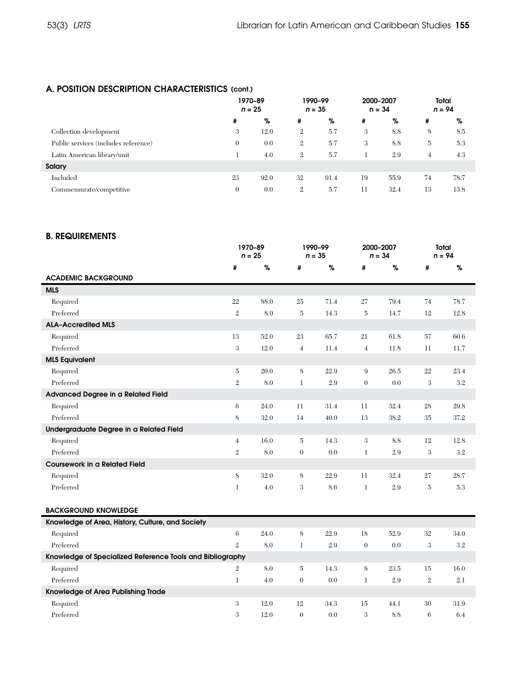# A. Position Description Characteristics (cont.)

|                                      |              | 1970-89<br>$n = 25$ |                | 1990-99<br>$n = 35$ |    | 2000-2007<br>$n = 34$ |    | <b>Total</b><br>$n = 94$ |  |
|--------------------------------------|--------------|---------------------|----------------|---------------------|----|-----------------------|----|--------------------------|--|
|                                      | #            | %                   | #              | %                   | #  | %                     | #  | %                        |  |
| Collection development               | 3            | 12.0                | $\overline{2}$ | 5.7                 | 3  | 8.8                   | 8  | 8.5                      |  |
| Public services (includes reference) | $\mathbf{0}$ | 0.0                 | $\overline{2}$ | 5.7                 | 3  | 8.8                   | 5  | 5.3                      |  |
| Latin American library/unit          |              | 4.0                 | 2              | 5.7                 |    | 2.9                   | 4  | 4.3                      |  |
| Salary                               |              |                     |                |                     |    |                       |    |                          |  |
| Included                             | 23           | 92.0                | 32             | 91.4                | 19 | 55.9                  | 74 | 78.7                     |  |
| Commensurate/competitive             | $\theta$     | 0.0                 | $\overline{2}$ | 5.7                 | 11 | 32.4                  | 13 | 13.8                     |  |

# **B. REQUIREMENTS**

|                                                           | 1970-89<br>$n = 25$ |      | 1990-99<br>$n = 35$ |      | 2000-2007<br>$n = 34$ |          | Total<br>$n = 94$ |      |
|-----------------------------------------------------------|---------------------|------|---------------------|------|-----------------------|----------|-------------------|------|
|                                                           | #                   | $\%$ | #                   | %    | #                     | %        | #                 | %    |
| <b>ACADEMIC BACKGROUND</b>                                |                     |      |                     |      |                       |          |                   |      |
| <b>MLS</b>                                                |                     |      |                     |      |                       |          |                   |      |
| Required                                                  | 22                  | 88.0 | 25                  | 71.4 | 27                    | 79.4     | 74                | 78.7 |
| Preferred                                                 | $\mathfrak{2}$      | 8.0  | $\bf 5$             | 14.3 | $\bf 5$               | 14.7     | 12                | 12.8 |
| <b>ALA-Accredited MLS</b>                                 |                     |      |                     |      |                       |          |                   |      |
| Required                                                  | 13                  | 52.0 | 23                  | 65.7 | 21                    | 61.8     | 57                | 60.6 |
| Preferred                                                 | 3                   | 12.0 | $\overline{4}$      | 11.4 | $\overline{4}$        | $11.8\,$ | 11                | 11.7 |
| <b>MLS Equivalent</b>                                     |                     |      |                     |      |                       |          |                   |      |
| Required                                                  | $\overline{5}$      | 20.0 | 8                   | 22.9 | $\boldsymbol{9}$      | 26.5     | 22                | 23.4 |
| Preferred                                                 | $\mathbf 2$         | 8.0  | $\mathbf{1}$        | 2.9  | $\boldsymbol{0}$      | 0.0      | 3                 | 3.2  |
| Advanced Degree in a Related Field                        |                     |      |                     |      |                       |          |                   |      |
| Required                                                  | $\,6$               | 24.0 | 11                  | 31.4 | 11                    | 32.4     | 28                | 29.8 |
| Preferred                                                 | 8                   | 32.0 | 14                  | 40.0 | 13                    | 38.2     | 35                | 37.2 |
| Undergraduate Degree in a Related Field                   |                     |      |                     |      |                       |          |                   |      |
| Required                                                  | $\sqrt{4}$          | 16.0 | $\bf 5$             | 14.3 | 3                     | 8.8      | 12                | 12.8 |
| Preferred                                                 | $\overline{2}$      | 8.0  | $\boldsymbol{0}$    | 0.0  | $\mathbf{1}$          | 2.9      | 3                 | 3.2  |
| <b>Coursework in a Related Field</b>                      |                     |      |                     |      |                       |          |                   |      |
| Required                                                  | 8                   | 32.0 | 8                   | 22.9 | 11                    | 32.4     | 27                | 28.7 |
| Preferred                                                 | $\bf{l}$            | 4.0  | 3                   | 8.6  | $\mathbf{1}$          | 2.9      | $\bf 5$           | 5.3  |
|                                                           |                     |      |                     |      |                       |          |                   |      |
| <b>BACKGROUND KNOWLEDGE</b>                               |                     |      |                     |      |                       |          |                   |      |
| Knowledge of Area, History, Culture, and Society          |                     |      |                     |      |                       |          |                   |      |
| Required                                                  | 6                   | 24.0 | 8                   | 22.9 | 18                    | 52.9     | 32                | 34.0 |
| Preferred                                                 | $\overline{2}$      | 8.0  | $\mathbf 1$         | 2.9  | $\boldsymbol{0}$      | 0.0      | $\,3$             | 3.2  |
| Knowledge of Specialized Reference Tools and Bibliography |                     |      |                     |      |                       |          |                   |      |
| Required                                                  | $\mathbf{2}$        | 8.0  | 5                   | 14.3 | 8                     | 23.5     | 15                | 16.0 |
| Preferred                                                 | $\mathbf{1}$        | 4.0  | $\boldsymbol{0}$    | 0.0  | $\mathbf 1$           | 2.9      | $\mathbf{2}$      | 2.1  |
| Knowledge of Area Publishing Trade                        |                     |      |                     |      |                       |          |                   |      |
| Required                                                  | 3                   | 12.0 | 12                  | 34.3 | 15                    | 44.1     | 30                | 31.9 |
| Preferred                                                 | 3                   | 12.0 | $\boldsymbol{0}$    | 0.0  | 3                     | 8.8      | $\,6$             | 6.4  |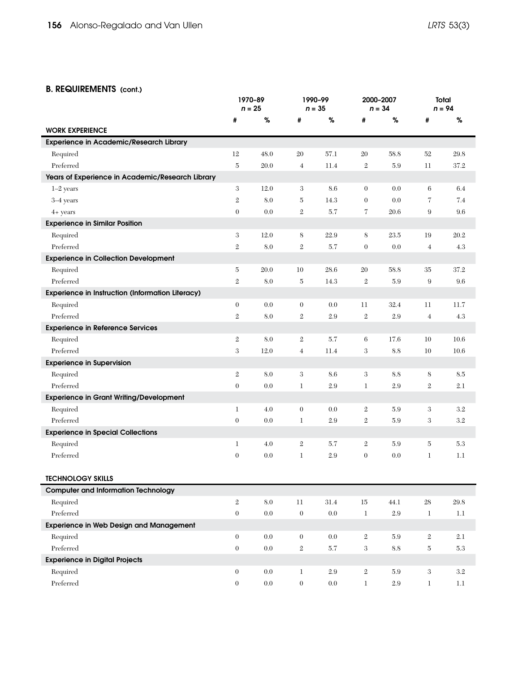## B. REQUIREMENTS (cont.)

|                                                         |                  | 1990-99<br>1970-89<br>$n = 25$<br>$n = 35$ |                  | 2000-2007<br>$n = 34$ |                  | Total<br>$n = 94$ |                  |          |
|---------------------------------------------------------|------------------|--------------------------------------------|------------------|-----------------------|------------------|-------------------|------------------|----------|
|                                                         | #                | $\%$                                       | #                | $\%$                  | #                | $\%$              | #                | $\%$     |
| <b>WORK EXPERIENCE</b>                                  |                  |                                            |                  |                       |                  |                   |                  |          |
| <b>Experience in Academic/Research Library</b>          |                  |                                            |                  |                       |                  |                   |                  |          |
| Required                                                | 12               | 48.0                                       | $20\,$           | $57.1\,$              | 20               | 58.8              | 52               | 29.8     |
| Preferred                                               | $\overline{5}$   | 20.0                                       | $\overline{4}$   | 11.4                  | $\,2$            | 5.9               | 11               | 37.2     |
| Years of Experience in Academic/Research Library        |                  |                                            |                  |                       |                  |                   |                  |          |
| $1-2$ years                                             | 3                | 12.0                                       | $\,3$            | 8.6                   | $\mathbf{0}$     | 0.0               | 6                | 6.4      |
| 3-4 years                                               | $\mathfrak{2}$   | 8.0                                        | $\bf 5$          | 14.3                  | $\boldsymbol{0}$ | 0.0               | 7                | 7.4      |
| $4+$ years                                              | $\boldsymbol{0}$ | 0.0                                        | $\,2$            | 5.7                   | 7                | 20.6              | $9\,$            | 9.6      |
| <b>Experience in Similar Position</b>                   |                  |                                            |                  |                       |                  |                   |                  |          |
| Required                                                | 3                | 12.0                                       | $8\,$            | 22.9                  | 8                | 23.5              | 19               | 20.2     |
| Preferred                                               | $\mathbf{2}$     | 8.0                                        | $\mathbf{2}$     | 5.7                   | $\boldsymbol{0}$ | 0.0               | $\overline{4}$   | 4.3      |
| <b>Experience in Collection Development</b>             |                  |                                            |                  |                       |                  |                   |                  |          |
| Required                                                | 5                | 20.0                                       | 10               | 28.6                  | 20               | 58.8              | 35               | 37.2     |
| Preferred                                               | $\mathfrak{2}$   | 8.0                                        | $\bf 5$          | 14.3                  | $\,2$            | 5.9               | $\boldsymbol{9}$ | 9.6      |
| <b>Experience in Instruction (Information Literacy)</b> |                  |                                            |                  |                       |                  |                   |                  |          |
| Required                                                | $\boldsymbol{0}$ | 0.0                                        | $\boldsymbol{0}$ | $0.0\,$               | 11               | 32.4              | 11               | 11.7     |
| Preferred                                               | $\mathfrak{2}$   | 8.0                                        | $\mathbf{2}$     | 2.9                   | $\,2$            | $2.9\,$           | $\overline{4}$   | 4.3      |
| <b>Experience in Reference Services</b>                 |                  |                                            |                  |                       |                  |                   |                  |          |
| Required                                                | $\mathbf{2}$     | 8.0                                        | $\,2$            | 5.7                   | 6                | 17.6              | 10               | 10.6     |
| Preferred                                               | 3                | 12.0                                       | $\overline{4}$   | 11.4                  | 3                | 8.8               | 10               | 10.6     |
| <b>Experience in Supervision</b>                        |                  |                                            |                  |                       |                  |                   |                  |          |
| Required                                                | $\sqrt{2}$       | 8.0                                        | $\,3$            | 8.6                   | 3                | 8.8               | 8                | 8.5      |
| Preferred                                               | $\boldsymbol{0}$ | 0.0                                        | $\mathbf 1$      | 2.9                   | $\mathbf 1$      | 2.9               | $\,2$            | 2.1      |
| <b>Experience in Grant Writing/Development</b>          |                  |                                            |                  |                       |                  |                   |                  |          |
| Required                                                | 1                | 4.0                                        | $\boldsymbol{0}$ | 0.0                   | $\,2$            | 5.9               | $\,3$            | 3.2      |
| Preferred                                               | $\boldsymbol{0}$ | 0.0                                        | $\mathbf 1$      | 2.9                   | $\sqrt{2}$       | 5.9               | $\,3$            | $3.2\,$  |
| <b>Experience in Special Collections</b>                |                  |                                            |                  |                       |                  |                   |                  |          |
| Required                                                | $\mathbf{1}$     | 4.0                                        | $\boldsymbol{2}$ | 5.7                   | $\overline{2}$   | 5.9               | $\bf 5$          | 5.3      |
| Preferred                                               | $\boldsymbol{0}$ | 0.0                                        | $\mathbf 1$      | 2.9                   | $\boldsymbol{0}$ | 0.0               | $\mathbf 1$      | 1.1      |
|                                                         |                  |                                            |                  |                       |                  |                   |                  |          |
| <b>TECHNOLOGY SKILLS</b>                                |                  |                                            |                  |                       |                  |                   |                  |          |
| <b>Computer and Information Technology</b>              |                  |                                            |                  |                       |                  |                   |                  |          |
| Required                                                | $\,2$            | $8.0\,$                                    | $11\,$           | $31.4\,$              | $15\,$           | 44.1              | $28\,$           | $29.8\,$ |
| $\operatorname{Preferred}$                              | $\boldsymbol{0}$ | $0.0\,$                                    | $\boldsymbol{0}$ | $0.0\,$               | $\mathbf 1$      | $2.9\,$           | $\mathbf{1}$     | $1.1\,$  |
| <b>Experience in Web Design and Management</b>          |                  |                                            |                  |                       |                  |                   |                  |          |
| Required                                                | $\boldsymbol{0}$ | $0.0\,$                                    | $\boldsymbol{0}$ | $0.0\,$               | $\,2$            | $5.9\,$           | $\,2$            | $2.1\,$  |
| Preferred                                               | $\boldsymbol{0}$ | $0.0\,$                                    | $\,2$            | $5.7\,$               | 3                | $8.8\,$           | $\bf 5$          | $5.3\,$  |
| <b>Experience in Digital Projects</b>                   |                  |                                            |                  |                       |                  |                   |                  |          |
| Required                                                | $\boldsymbol{0}$ | $0.0\,$                                    | $\mathbf 1$      | $2.9\,$               | $\,2$            | 5.9               | 3                | $3.2\,$  |
| $\operatorname{Preferred}$                              | $\boldsymbol{0}$ | $0.0\,$                                    | $\boldsymbol{0}$ | $0.0\,$               | $\mathbf{1}$     | $2.9\,$           | $\mathbf 1$      | $1.1\,$  |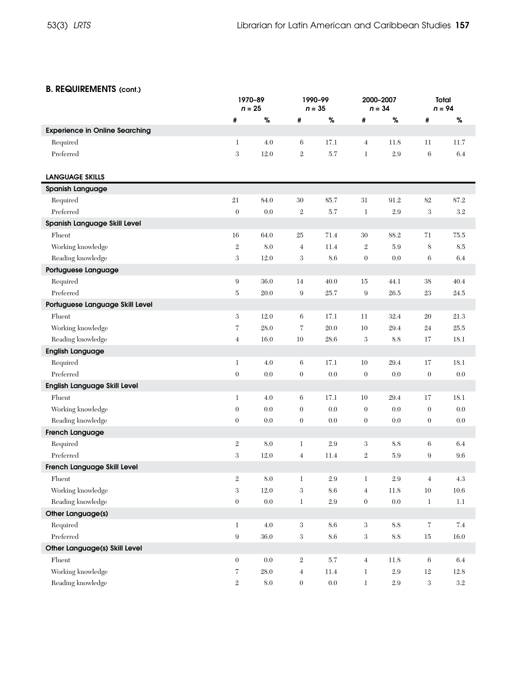# B. REQUIREMENTS (cont.)

|                                       |                   | 1970-89<br>$n = 25$ | 1990-99<br>$n = 35$ |          | 2000-2007<br>$n = 34$ |                 | Total<br>$n = 94$ |          |
|---------------------------------------|-------------------|---------------------|---------------------|----------|-----------------------|-----------------|-------------------|----------|
|                                       | #                 | $\%$                | #                   | $\%$     | #                     | $\%$            | #                 | %        |
| <b>Experience in Online Searching</b> |                   |                     |                     |          |                       |                 |                   |          |
| Required                              | 1                 | 4.0                 | 6                   | 17.1     | $\overline{4}$        | 11.8            | 11                | 11.7     |
| Preferred                             | 3                 | 12.0                | $\mathbf 2$         | 5.7      | $\mathbf{1}$          | $2.9\,$         | $\,6$             | 6.4      |
|                                       |                   |                     |                     |          |                       |                 |                   |          |
| <b>LANGUAGE SKILLS</b>                |                   |                     |                     |          |                       |                 |                   |          |
| <b>Spanish Language</b>               |                   |                     |                     |          |                       |                 |                   |          |
| Required                              | $21\,$            | 84.0                | $30\,$              | 85.7     | $31\,$                | 91.2            | 82                | 87.2     |
| Preferred                             | $\boldsymbol{0}$  | 0.0                 | $\,2$               | 5.7      | $\mathbf{1}$          | $2.9\,$         | $\,3$             | 3.2      |
| Spanish Language Skill Level          |                   |                     |                     |          |                       |                 |                   |          |
| Fluent                                | 16                | 64.0                | 25                  | 71.4     | 30                    | 88.2            | $71\,$            | 75.5     |
| Working knowledge                     | $\,2$             | 8.0                 | $\overline{4}$      | 11.4     | $\,2$                 | 5.9             | $\,$ 8 $\,$       | 8.5      |
| Reading knowledge                     | 3                 | 12.0                | 3                   | 8.6      | $\boldsymbol{0}$      | 0.0             | 6                 | 6.4      |
| Portuguese Language                   |                   |                     |                     |          |                       |                 |                   |          |
| Required                              | $\boldsymbol{9}$  | 36.0                | 14                  | 40.0     | 15                    | 44.1            | 38                | 40.4     |
| Preferred                             | $\bf 5$           | 20.0                | $\boldsymbol{9}$    | 25.7     | $\boldsymbol{9}$      | 26.5            | 23                | 24.5     |
| Portuguese Language Skill Level       |                   |                     |                     |          |                       |                 |                   |          |
| Fluent                                | $\boldsymbol{3}$  | 12.0                | 6                   | 17.1     | $11\,$                | 32.4            | $20\,$            | 21.3     |
| Working knowledge                     | $\mathbf 7$       | $28.0\,$            | 7                   | 20.0     | $10\,$                | 29.4            | $24\,$            | 25.5     |
| Reading knowledge                     | $\overline{4}$    | 16.0                | $10\,$              | 28.6     | $\,3$                 | 8.8             | $17\,$            | 18.1     |
| <b>English Language</b>               |                   |                     |                     |          |                       |                 |                   |          |
| Required                              | $\mathbf{1}$      | 4.0                 | 6                   | 17.1     | $10\,$                | 29.4            | $17\,$            | $18.1\,$ |
| Preferred                             | $\boldsymbol{0}$  | $0.0\,$             | $\boldsymbol{0}$    | $0.0\,$  | $\boldsymbol{0}$      | 0.0             | $\boldsymbol{0}$  | $0.0\,$  |
| <b>English Language Skill Level</b>   |                   |                     |                     |          |                       |                 |                   |          |
| Fluent                                | 1                 | 4.0                 | 6                   | 17.1     | $10\,$                | 29.4            | 17                | 18.1     |
| Working knowledge                     | $\boldsymbol{0}$  | 0.0                 | $\boldsymbol{0}$    | $0.0\,$  | $\boldsymbol{0}$      | 0.0             | $\boldsymbol{0}$  | 0.0      |
| Reading knowledge                     | $\overline{0}$    | 0.0                 | $\boldsymbol{0}$    | 0.0      | $\boldsymbol{0}$      | 0.0             | $\boldsymbol{0}$  | 0.0      |
| <b>French Language</b>                |                   |                     |                     |          |                       |                 |                   |          |
| Required                              | $\sqrt{2}$        | 8.0                 | 1                   | 2.9      | 3                     | 8.8             | 6                 | 6.4      |
| Preferred                             | $\,3$             | 12.0                | $\overline{4}$      | 11.4     | $\,2$                 | $5.9\,$         | $\boldsymbol{9}$  | 9.6      |
| French Language Skill Level           |                   |                     |                     |          |                       |                 |                   |          |
| Fluent                                | $\sqrt{2}$        | 8.0                 | $\mathbf 1$         | 2.9      | $\mathbf 1$           | 2.9             | $\overline{4}$    | 4.3      |
| Working knowledge                     | $\,3$             | $12.0\,$            | $\,3$               | 8.6      | $\overline{4}$        | $11.8\,$        | $10\,$            | $10.6\,$ |
| Reading knowledge                     | $\boldsymbol{0}$  | $0.0\,$             | $\,1$               | $2.9\,$  | $\boldsymbol{0}$      | $0.0\,$         | $\,1$             | $1.1\,$  |
| Other Language(s)                     |                   |                     |                     |          |                       |                 |                   |          |
| Required                              | $\,1$             | $4.0\,$             | $\,3$               | $8.6\,$  | $\,3$                 | $\!\!\!\!\!8.8$ | $\boldsymbol{7}$  | $7.4\,$  |
| Preferred                             | $\boldsymbol{9}$  | $36.0\,$            | $\,3$               | $8.6\,$  | $\,3$                 | $\!\!\!\!\!8.8$ | $15\,$            | $16.0\,$ |
| Other Language(s) Skill Level         |                   |                     |                     |          |                       |                 |                   |          |
| ${\it Fluent}$                        | $\boldsymbol{0}$  | $0.0\,$             | $\,2$               | $5.7\,$  | $\overline{4}$        | $11.8\,$        | $\,6\,$           | 6.4      |
| Working knowledge                     | $\scriptstyle{7}$ | $28.0\,$            | $\,4$               | $11.4\,$ | $\mathbf{1}$          | $2.9\,$         | $12\,$            | $12.8\,$ |
| Reading knowledge                     | $\,2$             | $8.0\,$             | $\boldsymbol{0}$    | $0.0\,$  | $\mathbf{1}$          | $2.9\,$         | 3                 | $3.2\,$  |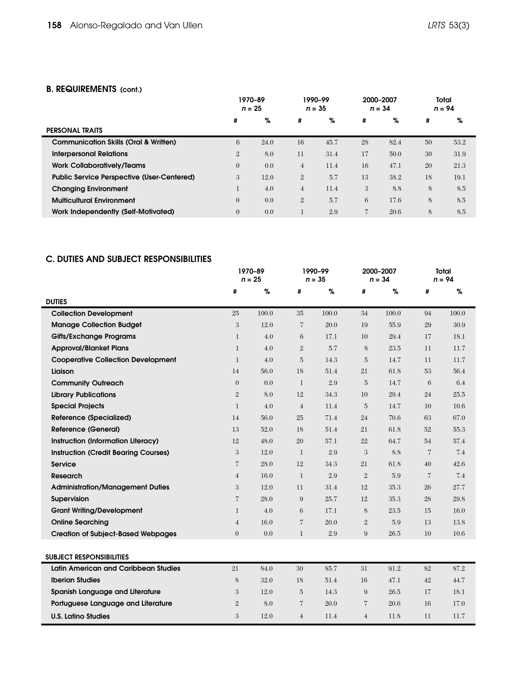|                                                   | 1970-89<br>$n = 25$ |      | 1990-99<br>$n = 35$ |      | 2000-2007<br>$n = 34$ |      | Total<br>$n = 94$ |      |
|---------------------------------------------------|---------------------|------|---------------------|------|-----------------------|------|-------------------|------|
|                                                   | #                   | %    | #                   | %    | #                     | %    | #                 | %    |
| <b>PERSONAL TRAITS</b>                            |                     |      |                     |      |                       |      |                   |      |
| <b>Communication Skills (Oral &amp; Written)</b>  | 6                   | 24.0 | 16                  | 45.7 | 28                    | 82.4 | 50                | 53.2 |
| <b>Interpersonal Relations</b>                    | $\overline{2}$      | 8.0  | 11                  | 31.4 | 17                    | 50.0 | 30                | 31.9 |
| <b>Work Collaboratively/Teams</b>                 | $\overline{0}$      | 0.0  | $\overline{4}$      | 11.4 | 16                    | 47.1 | 20                | 21.3 |
| <b>Public Service Perspective (User-Centered)</b> | 3                   | 12.0 | $\overline{2}$      | 5.7  | 13                    | 38.2 | 18                | 19.1 |
| <b>Changing Environment</b>                       |                     | 4.0  | $\overline{4}$      | 11.4 | 3                     | 8.8  | 8                 | 8.5  |
| <b>Multicultural Environment</b>                  | $\Omega$            | 0.0  | $\overline{2}$      | 5.7  | 6                     | 17.6 | 8                 | 8.5  |
| Work Independently (Self-Motivated)               | $\overline{0}$      | 0.0  |                     | 2.9  | $\overline{7}$        | 20.6 | 8                 | 8.5  |

# C. Duties and Subject Responsibilities

|                                             | 1970-89<br>$n = 25$ |       | 1990-99<br>$n = 35$ |       | 2000-2007<br>$n = 34$ |       |                | Total<br>$n = 94$ |
|---------------------------------------------|---------------------|-------|---------------------|-------|-----------------------|-------|----------------|-------------------|
|                                             | #                   | %     | #                   | %     | #                     | %     | #              | %                 |
| <b>DUTIES</b>                               |                     |       |                     |       |                       |       |                |                   |
| <b>Collection Development</b>               | 25                  | 100.0 | 35                  | 100.0 | 34                    | 100.0 | 94             | 100.0             |
| <b>Manage Collection Budget</b>             | 3                   | 12.0  | $\overline{7}$      | 20.0  | 19                    | 55.9  | 29             | 30.9              |
| Gifts/Exchange Programs                     | 1                   | 4.0   | 6                   | 17.1  | 10                    | 29.4  | 17             | 18.1              |
| <b>Approval/Blanket Plans</b>               | 1                   | 4.0   | $\overline{2}$      | 5.7   | 8                     | 23.5  | 11             | 11.7              |
| <b>Cooperative Collection Development</b>   | 1                   | 4.0   | $\overline{5}$      | 14.3  | 5                     | 14.7  | 11             | 11.7              |
| Liaison                                     | 14                  | 56.0  | 18                  | 51.4  | 21                    | 61.8  | 53             | 56.4              |
| <b>Community Outreach</b>                   | $\theta$            | 0.0   | $\mathbf{1}$        | 2.9   | $\overline{5}$        | 14.7  | 6              | 6.4               |
| <b>Library Publications</b>                 | $\mathbf{2}$        | 8.0   | 12                  | 34.3  | 10                    | 29.4  | 24             | 25.5              |
| <b>Special Projects</b>                     | 1                   | 4.0   | $\overline{4}$      | 11.4  | 5                     | 14.7  | 10             | 10.6              |
| <b>Reference (Specialized)</b>              | 14                  | 56.0  | 25                  | 71.4  | 24                    | 70.6  | 63             | 67.0              |
| <b>Reference (General)</b>                  | 13                  | 52.0  | 18                  | 51.4  | 21                    | 61.8  | 52             | 55.3              |
| Instruction (Information Literacy)          | 12                  | 48.0  | 20                  | 57.1  | 22                    | 64.7  | 54             | 57.4              |
| <b>Instruction (Credit Bearing Courses)</b> | 3                   | 12.0  | $\mathbf{1}$        | 2.9   | 3                     | 8.8   | $\overline{7}$ | 7.4               |
| <b>Service</b>                              | $\overline{7}$      | 28.0  | 12                  | 34.3  | 21                    | 61.8  | 40             | 42.6              |
| <b>Research</b>                             | $\overline{4}$      | 16.0  | 1                   | 2.9   | $\overline{2}$        | 5.9   | $\overline{7}$ | 7.4               |
| <b>Administration/Management Duties</b>     | 3                   | 12.0  | 11                  | 31.4  | 12                    | 35.3  | 26             | 27.7              |
| Supervision                                 | $\overline{7}$      | 28.0  | $\overline{9}$      | 25.7  | 12                    | 35.3  | 28             | 29.8              |
| <b>Grant Writing/Development</b>            | 1                   | 4.0   | 6                   | 17.1  | 8                     | 23.5  | 15             | 16.0              |
| <b>Online Searching</b>                     | $\overline{4}$      | 16.0  | $\overline{7}$      | 20.0  | $\sqrt{2}$            | 5.9   | 13             | 13.8              |
| <b>Creation of Subject-Based Webpages</b>   | $\overline{0}$      | 0.0   | $\mathbf{1}$        | 2.9   | 9                     | 26.5  | 10             | 10.6              |
|                                             |                     |       |                     |       |                       |       |                |                   |
| <b>SUBJECT RESPONSIBILITIES</b>             |                     |       |                     |       |                       |       |                |                   |
| Latin American and Caribbean Studies        | 21                  | 84.0  | 30                  | 85.7  | 31                    | 91.2  | 82             | 87.2              |
| <b>Iberian Studies</b>                      | 8                   | 32.0  | 18                  | 51.4  | 16                    | 47.1  | 42             | 44.7              |
| Spanish Language and Literature             | 3                   | 12.0  | $\overline{5}$      | 14.3  | 9                     | 26.5  | 17             | 18.1              |
| Portuguese Language and Literature          | $\mathbf{2}$        | 8.0   | $\overline{7}$      | 20.0  | $\overline{7}$        | 20.6  | 16             | 17.0              |
| <b>U.S. Latino Studies</b>                  | 3                   | 12.0  | $\overline{4}$      | 11.4  | $\overline{4}$        | 11.8  | 11             | 11.7              |